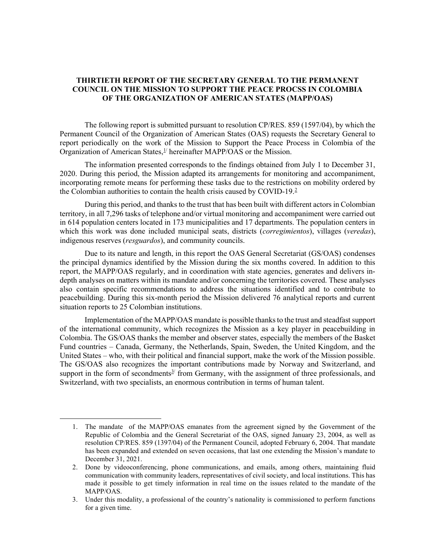# THIRTIETH REPORT OF THE SECRETARY GENERAL TO THE PERMANENT COUNCIL ON THE MISSION TO SUPPORT THE PEACE PROCSS IN COLOMBIA OF THE ORGANIZATION OF AMERICAN STATES (MAPP/OAS)

The following report is submitted pursuant to resolution CP/RES. 859 (1597/04), by which the Permanent Council of the Organization of American States (OAS) requests the Secretary General to report periodically on the work of the Mission to Support the Peace Process in Colombia of the Organization of American States, $\frac{1}{2}$  hereinafter MAPP/OAS or the Mission.

The information presented corresponds to the findings obtained from July 1 to December 31, 2020. During this period, the Mission adapted its arrangements for monitoring and accompaniment, incorporating remote means for performing these tasks due to the restrictions on mobility ordered by the Colombian authorities to contain the health crisis caused by COVID-19.<sup>2</sup>

During this period, and thanks to the trust that has been built with different actors in Colombian territory, in all 7,296 tasks of telephone and/or virtual monitoring and accompaniment were carried out in 614 population centers located in 173 municipalities and 17 departments. The population centers in which this work was done included municipal seats, districts (*corregimientos*), villages (*veredas*), indigenous reserves (resguardos), and community councils.

Due to its nature and length, in this report the OAS General Secretariat (GS/OAS) condenses the principal dynamics identified by the Mission during the six months covered. In addition to this report, the MAPP/OAS regularly, and in coordination with state agencies, generates and delivers indepth analyses on matters within its mandate and/or concerning the territories covered. These analyses also contain specific recommendations to address the situations identified and to contribute to peacebuilding. During this six-month period the Mission delivered 76 analytical reports and current situation reports to 25 Colombian institutions.

Implementation of the MAPP/OAS mandate is possible thanks to the trust and steadfast support of the international community, which recognizes the Mission as a key player in peacebuilding in Colombia. The GS/OAS thanks the member and observer states, especially the members of the Basket Fund countries – Canada, Germany, the Netherlands, Spain, Sweden, the United Kingdom, and the United States – who, with their political and financial support, make the work of the Mission possible. The GS/OAS also recognizes the important contributions made by Norway and Switzerland, and support in the form of secondments<sup> $3/$ </sup> from Germany, with the assignment of three professionals, and Switzerland, with two specialists, an enormous contribution in terms of human talent.

<sup>1.</sup> The mandate of the MAPP/OAS emanates from the agreement signed by the Government of the Republic of Colombia and the General Secretariat of the OAS, signed January 23, 2004, as well as resolution CP/RES. 859 (1397/04) of the Permanent Council, adopted February 6, 2004. That mandate has been expanded and extended on seven occasions, that last one extending the Mission's mandate to December 31, 2021.

<sup>2.</sup> Done by videoconferencing, phone communications, and emails, among others, maintaining fluid communication with community leaders, representatives of civil society, and local institutions. This has made it possible to get timely information in real time on the issues related to the mandate of the MAPP/OAS.

<sup>3.</sup> Under this modality, a professional of the country's nationality is commissioned to perform functions for a given time.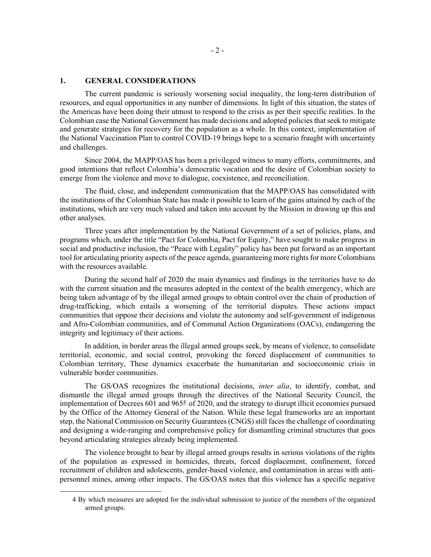## 1. GENERAL CONSIDERATIONS

The current pandemic is seriously worsening social inequality, the long-term distribution of resources, and equal opportunities in any number of dimensions. In light of this situation, the states of the Americas have been doing their utmost to respond to the crisis as per their specific realities. In the Colombian case the National Government has made decisions and adopted policies that seek to mitigate and generate strategies for recovery for the population as a whole. In this context, implementation of the National Vaccination Plan to control COVID-19 brings hope to a scenario fraught with uncertainty and challenges.

Since 2004, the MAPP/OAS has been a privileged witness to many efforts, commitments, and good intentions that reflect Colombia's democratic vocation and the desire of Colombian society to emerge from the violence and move to dialogue, coexistence, and reconciliation.

The fluid, close, and independent communication that the MAPP/OAS has consolidated with the institutions of the Colombian State has made it possible to learn of the gains attained by each of the institutions, which are very much valued and taken into account by the Mission in drawing up this and other analyses.

Three years after implementation by the National Government of a set of policies, plans, and programs which, under the title "Pact for Colombia, Pact for Equity," have sought to make progress in social and productive inclusion, the "Peace with Legality" policy has been put forward as an important tool for articulating priority aspects of the peace agenda, guaranteeing more rights for more Colombians with the resources available.

During the second half of 2020 the main dynamics and findings in the territories have to do with the current situation and the measures adopted in the context of the health emergency, which are being taken advantage of by the illegal armed groups to obtain control over the chain of production of drug-trafficking, which entails a worsening of the territorial disputes. These actions impact communities that oppose their decisions and violate the autonomy and self-government of indigenous and Afro-Colombian communities, and of Communal Action Organizations (OACs), endangering the integrity and legitimacy of their actions.

In addition, in border areas the illegal armed groups seek, by means of violence, to consolidate territorial, economic, and social control, provoking the forced displacement of communities to Colombian territory, These dynamics exacerbate the humanitarian and socioeconomic crisis in vulnerable border communities.

The GS/OAS recognizes the institutional decisions, *inter alia*, to identify, combat, and dismantle the illegal armed groups through the directives of the National Security Council, the implementation of Decrees 601 and  $965\frac{4}{3}$  of 2020, and the strategy to disrupt illicit economies pursued by the Office of the Attorney General of the Nation. While these legal frameworks are an important step, the National Commission on Security Guarantees (CNGS) still faces the challenge of coordinating and designing a wide-ranging and comprehensive policy for dismantling criminal structures that goes beyond articulating strategies already being implemented.

The violence brought to bear by illegal armed groups results in serious violations of the rights of the population as expressed in homicides, threats, forced displacement, confinement, forced recruitment of children and adolescents, gender-based violence, and contamination in areas with antipersonnel mines, among other impacts. The GS/OAS notes that this violence has a specific negative

<sup>4</sup> By which measures are adopted for the individual submission to justice of the members of the organized armed groups.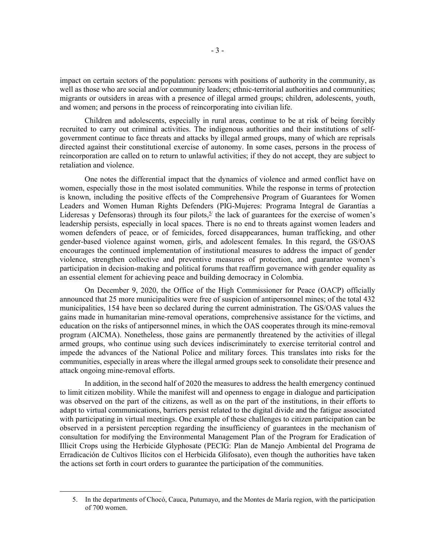impact on certain sectors of the population: persons with positions of authority in the community, as well as those who are social and/or community leaders; ethnic-territorial authorities and communities; migrants or outsiders in areas with a presence of illegal armed groups; children, adolescents, youth, and women; and persons in the process of reincorporating into civilian life.

Children and adolescents, especially in rural areas, continue to be at risk of being forcibly recruited to carry out criminal activities. The indigenous authorities and their institutions of selfgovernment continue to face threats and attacks by illegal armed groups, many of which are reprisals directed against their constitutional exercise of autonomy. In some cases, persons in the process of reincorporation are called on to return to unlawful activities; if they do not accept, they are subject to retaliation and violence.

One notes the differential impact that the dynamics of violence and armed conflict have on women, especially those in the most isolated communities. While the response in terms of protection is known, including the positive effects of the Comprehensive Program of Guarantees for Women Leaders and Women Human Rights Defenders (PIG-Mujeres: Programa Integral de Garantías a Lideresas y Defensoras) through its four pilots,  $\frac{5}{7}$  the lack of guarantees for the exercise of women's leadership persists, especially in local spaces. There is no end to threats against women leaders and women defenders of peace, or of femicides, forced disappearances, human trafficking, and other gender-based violence against women, girls, and adolescent females. In this regard, the GS/OAS encourages the continued implementation of institutional measures to address the impact of gender violence, strengthen collective and preventive measures of protection, and guarantee women's participation in decision-making and political forums that reaffirm governance with gender equality as an essential element for achieving peace and building democracy in Colombia.

On December 9, 2020, the Office of the High Commissioner for Peace (OACP) officially announced that 25 more municipalities were free of suspicion of antipersonnel mines; of the total 432 municipalities, 154 have been so declared during the current administration. The GS/OAS values the gains made in humanitarian mine-removal operations, comprehensive assistance for the victims, and education on the risks of antipersonnel mines, in which the OAS cooperates through its mine-removal program (AICMA). Nonetheless, those gains are permanently threatened by the activities of illegal armed groups, who continue using such devices indiscriminately to exercise territorial control and impede the advances of the National Police and military forces. This translates into risks for the communities, especially in areas where the illegal armed groups seek to consolidate their presence and attack ongoing mine-removal efforts.

In addition, in the second half of 2020 the measures to address the health emergency continued to limit citizen mobility. While the manifest will and openness to engage in dialogue and participation was observed on the part of the citizens, as well as on the part of the institutions, in their efforts to adapt to virtual communications, barriers persist related to the digital divide and the fatigue associated with participating in virtual meetings. One example of these challenges to citizen participation can be observed in a persistent perception regarding the insufficiency of guarantees in the mechanism of consultation for modifying the Environmental Management Plan of the Program for Eradication of Illicit Crops using the Herbicide Glyphosate (PECIG: Plan de Manejo Ambiental del Programa de Erradicación de Cultivos Ilícitos con el Herbicida Glifosato), even though the authorities have taken the actions set forth in court orders to guarantee the participation of the communities.

<sup>5.</sup> In the departments of Chocó, Cauca, Putumayo, and the Montes de María region, with the participation of 700 women.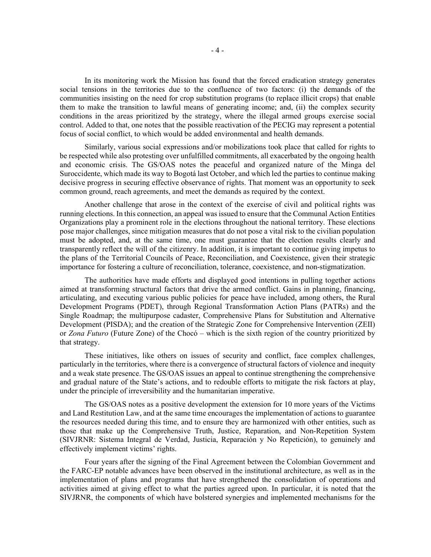In its monitoring work the Mission has found that the forced eradication strategy generates social tensions in the territories due to the confluence of two factors: (i) the demands of the communities insisting on the need for crop substitution programs (to replace illicit crops) that enable them to make the transition to lawful means of generating income; and, (ii) the complex security conditions in the areas prioritized by the strategy, where the illegal armed groups exercise social control. Added to that, one notes that the possible reactivation of the PECIG may represent a potential focus of social conflict, to which would be added environmental and health demands.

Similarly, various social expressions and/or mobilizations took place that called for rights to be respected while also protesting over unfulfilled commitments, all exacerbated by the ongoing health and economic crisis. The GS/OAS notes the peaceful and organized nature of the Minga del Suroccidente, which made its way to Bogotá last October, and which led the parties to continue making decisive progress in securing effective observance of rights. That moment was an opportunity to seek common ground, reach agreements, and meet the demands as required by the context.

Another challenge that arose in the context of the exercise of civil and political rights was running elections. In this connection, an appeal was issued to ensure that the Communal Action Entities Organizations play a prominent role in the elections throughout the national territory. These elections pose major challenges, since mitigation measures that do not pose a vital risk to the civilian population must be adopted, and, at the same time, one must guarantee that the election results clearly and transparently reflect the will of the citizenry. In addition, it is important to continue giving impetus to the plans of the Territorial Councils of Peace, Reconciliation, and Coexistence, given their strategic importance for fostering a culture of reconciliation, tolerance, coexistence, and non-stigmatization.

The authorities have made efforts and displayed good intentions in pulling together actions aimed at transforming structural factors that drive the armed conflict. Gains in planning, financing, articulating, and executing various public policies for peace have included, among others, the Rural Development Programs (PDET), through Regional Transformation Action Plans (PATRs) and the Single Roadmap; the multipurpose cadaster, Comprehensive Plans for Substitution and Alternative Development (PISDA); and the creation of the Strategic Zone for Comprehensive Intervention (ZEII) or Zona Futuro (Future Zone) of the Chocó – which is the sixth region of the country prioritized by that strategy.

These initiatives, like others on issues of security and conflict, face complex challenges, particularly in the territories, where there is a convergence of structural factors of violence and inequity and a weak state presence. The GS/OAS issues an appeal to continue strengthening the comprehensive and gradual nature of the State's actions, and to redouble efforts to mitigate the risk factors at play, under the principle of irreversibility and the humanitarian imperative.

The GS/OAS notes as a positive development the extension for 10 more years of the Victims and Land Restitution Law, and at the same time encourages the implementation of actions to guarantee the resources needed during this time, and to ensure they are harmonized with other entities, such as those that make up the Comprehensive Truth, Justice, Reparation, and Non-Repetition System (SIVJRNR: Sistema Integral de Verdad, Justicia, Reparación y No Repetición), to genuinely and effectively implement victims' rights.

Four years after the signing of the Final Agreement between the Colombian Government and the FARC-EP notable advances have been observed in the institutional architecture, as well as in the implementation of plans and programs that have strengthened the consolidation of operations and activities aimed at giving effect to what the parties agreed upon. In particular, it is noted that the SIVJRNR, the components of which have bolstered synergies and implemented mechanisms for the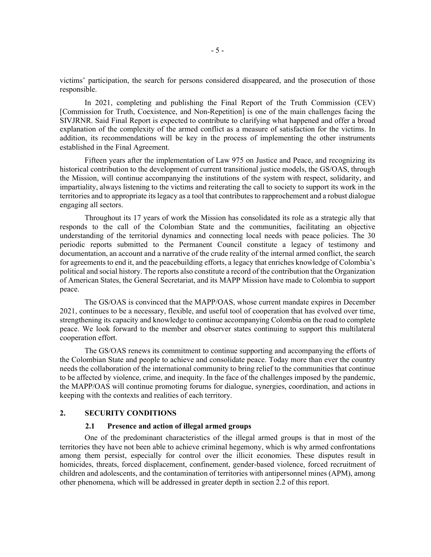victims' participation, the search for persons considered disappeared, and the prosecution of those responsible.

In 2021, completing and publishing the Final Report of the Truth Commission (CEV) [Commission for Truth, Coexistence, and Non-Repetition] is one of the main challenges facing the SIVJRNR. Said Final Report is expected to contribute to clarifying what happened and offer a broad explanation of the complexity of the armed conflict as a measure of satisfaction for the victims. In addition, its recommendations will be key in the process of implementing the other instruments established in the Final Agreement.

Fifteen years after the implementation of Law 975 on Justice and Peace, and recognizing its historical contribution to the development of current transitional justice models, the GS/OAS, through the Mission, will continue accompanying the institutions of the system with respect, solidarity, and impartiality, always listening to the victims and reiterating the call to society to support its work in the territories and to appropriate its legacy as a tool that contributes to rapprochement and a robust dialogue engaging all sectors.

Throughout its 17 years of work the Mission has consolidated its role as a strategic ally that responds to the call of the Colombian State and the communities, facilitating an objective understanding of the territorial dynamics and connecting local needs with peace policies. The 30 periodic reports submitted to the Permanent Council constitute a legacy of testimony and documentation, an account and a narrative of the crude reality of the internal armed conflict, the search for agreements to end it, and the peacebuilding efforts, a legacy that enriches knowledge of Colombia's political and social history. The reports also constitute a record of the contribution that the Organization of American States, the General Secretariat, and its MAPP Mission have made to Colombia to support peace.

The GS/OAS is convinced that the MAPP/OAS, whose current mandate expires in December 2021, continues to be a necessary, flexible, and useful tool of cooperation that has evolved over time, strengthening its capacity and knowledge to continue accompanying Colombia on the road to complete peace. We look forward to the member and observer states continuing to support this multilateral cooperation effort.

The GS/OAS renews its commitment to continue supporting and accompanying the efforts of the Colombian State and people to achieve and consolidate peace. Today more than ever the country needs the collaboration of the international community to bring relief to the communities that continue to be affected by violence, crime, and inequity. In the face of the challenges imposed by the pandemic, the MAPP/OAS will continue promoting forums for dialogue, synergies, coordination, and actions in keeping with the contexts and realities of each territory.

### 2. SECURITY CONDITIONS

#### 2.1 Presence and action of illegal armed groups

One of the predominant characteristics of the illegal armed groups is that in most of the territories they have not been able to achieve criminal hegemony, which is why armed confrontations among them persist, especially for control over the illicit economies. These disputes result in homicides, threats, forced displacement, confinement, gender-based violence, forced recruitment of children and adolescents, and the contamination of territories with antipersonnel mines (APM), among other phenomena, which will be addressed in greater depth in section 2.2 of this report.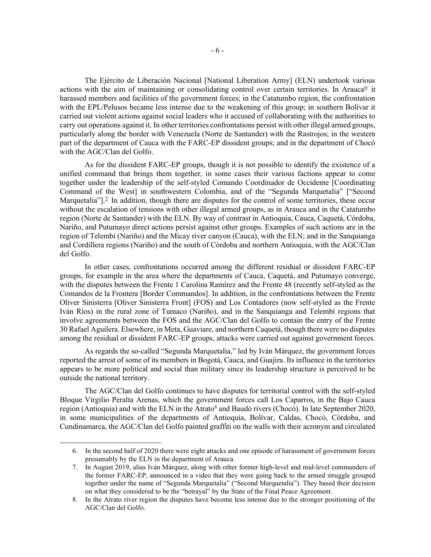The Ejército de Liberación Nacional [National Liberation Army] (ELN) undertook various actions with the aim of maintaining or consolidating control over certain territories. In Arauca<sup>6/</sup> it harassed members and facilities of the government forces; in the Catatumbo region, the confrontation with the EPL/Pelusos became less intense due to the weakening of this group; in southern Bolívar it carried out violent actions against social leaders who it accused of collaborating with the authorities to carry out operations against it. In other territories confrontations persist with other illegal armed groups, particularly along the border with Venezuela (Norte de Santander) with the Rastrojos; in the western part of the department of Cauca with the FARC-EP dissident groups; and in the department of Chocó with the AGC/Clan del Golfo.

As for the dissident FARC-EP groups, though it is not possible to identify the existence of a unified command that brings them together, in some cases their various factions appear to come together under the leadership of the self-styled Comando Coordinador de Occidente [Coordinating Command of the West] in southwestern Colombia, and of the "Segunda Marquetalia" ["Second Marquetalia"]. $\mathbb{I}$  In addition, though there are disputes for the control of some territories, these occur without the escalation of tensions with other illegal armed groups, as in Arauca and in the Catatumbo region (Norte de Santander) with the ELN. By way of contrast in Antioquia, Cauca, Caquetá, Córdoba, Nariño, and Putumayo direct actions persist against other groups. Examples of such actions are in the region of Telembí (Nariño) and the Micay river canyon (Cauca), with the ELN; and in the Sanquianga and Cordillera regions (Nariño) and the south of Córdoba and northern Antioquia, with the AGC/Clan del Golfo.

In other cases, confrontations occurred among the different residual or dissident FARC-EP groups, for example in the area where the departments of Cauca, Caquetá, and Putumayo converge, with the disputes between the Frente 1 Carolina Ramírez and the Frente 48 (recently self-styled as the Comandos de la Frontera [Border Commandos]. In addition, in the confrontations between the Frente Oliver Sinisterra [Oliver Sinisterra Front] (FOS) and Los Contadores (now self-styled as the Frente Iván Ríos) in the rural zone of Tumaco (Nariño), and in the Sanquianga and Telembí regions that involve agreements between the FOS and the AGC/Clan del Golfo to contain the entry of the Frente 30 Rafael Aguilera. Elsewhere, in Meta, Guaviare, and northern Caquetá, though there were no disputes among the residual or dissident FARC-EP groups, attacks were carried out against government forces.

As regards the so-called "Segunda Marquetalia," led by Iván Márquez, the government forces reported the arrest of some of its members in Bogotá, Cauca, and Guajira. Its influence in the territories appears to be more political and social than military since its leadership structure is perceived to be outside the national territory.

The AGC/Clan del Golfo continues to have disputes for territorial control with the self-styled Bloque Virgilio Peralta Arenas, which the government forces call Los Caparros, in the Bajo Cauca region (Antioquia) and with the ELN in the Atrato<sup>8</sup> and Baudó rivers (Chocó). In late September 2020, in some municipalities of the departments of Antioquia, Bolívar, Caldas, Chocó, Córdoba, and Cundinamarca, the AGC/Clan del Golfo painted graffiti on the walls with their acronym and circulated

<sup>6.</sup> In the second half of 2020 there were eight attacks and one episode of harassment of government forces presumably by the ELN in the department of Arauca.

<sup>7.</sup> In August 2019, alias Iván Márquez, along with other former high-level and mid-level commanders of the former FARC-EP, announced in a video that they were going back to the armed struggle grouped together under the name of "Segunda Marquetalia" ("Second Marquetalia"). They based their decision on what they considered to be the "betrayal" by the State of the Final Peace Agreement.

<sup>8.</sup> In the Atrato river region the disputes have become less intense due to the stronger positioning of the AGC/Clan del Golfo.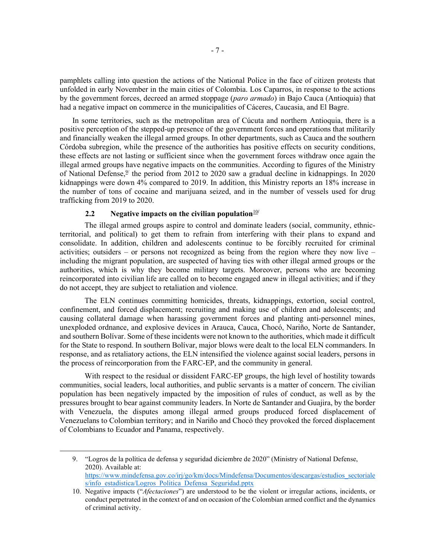pamphlets calling into question the actions of the National Police in the face of citizen protests that unfolded in early November in the main cities of Colombia. Los Caparros, in response to the actions by the government forces, decreed an armed stoppage (paro armado) in Bajo Cauca (Antioquia) that had a negative impact on commerce in the municipalities of Cáceres, Caucasia, and El Bagre.

In some territories, such as the metropolitan area of Cúcuta and northern Antioquia, there is a positive perception of the stepped-up presence of the government forces and operations that militarily and financially weaken the illegal armed groups. In other departments, such as Cauca and the southern Córdoba subregion, while the presence of the authorities has positive effects on security conditions, these effects are not lasting or sufficient since when the government forces withdraw once again the illegal armed groups have negative impacts on the communities. According to figures of the Ministry of National Defense, $9/2$  the period from 2012 to 2020 saw a gradual decline in kidnappings. In 2020 kidnappings were down 4% compared to 2019. In addition, this Ministry reports an 18% increase in the number of tons of cocaine and marijuana seized, and in the number of vessels used for drug trafficking from 2019 to 2020.

## 2.2 Negative impacts on the civilian population $10/10$

The illegal armed groups aspire to control and dominate leaders (social, community, ethnicterritorial, and political) to get them to refrain from interfering with their plans to expand and consolidate. In addition, children and adolescents continue to be forcibly recruited for criminal activities; outsiders – or persons not recognized as being from the region where they now live – including the migrant population, are suspected of having ties with other illegal armed groups or the authorities, which is why they become military targets. Moreover, persons who are becoming reincorporated into civilian life are called on to become engaged anew in illegal activities; and if they do not accept, they are subject to retaliation and violence.

The ELN continues committing homicides, threats, kidnappings, extortion, social control, confinement, and forced displacement; recruiting and making use of children and adolescents; and causing collateral damage when harassing government forces and planting anti-personnel mines, unexploded ordnance, and explosive devices in Arauca, Cauca, Chocó, Nariño, Norte de Santander, and southern Bolívar. Some of these incidents were not known to the authorities, which made it difficult for the State to respond. In southern Bolívar, major blows were dealt to the local ELN commanders. In response, and as retaliatory actions, the ELN intensified the violence against social leaders, persons in the process of reincorporation from the FARC-EP, and the community in general.

With respect to the residual or dissident FARC-EP groups, the high level of hostility towards communities, social leaders, local authorities, and public servants is a matter of concern. The civilian population has been negatively impacted by the imposition of rules of conduct, as well as by the pressures brought to bear against community leaders. In Norte de Santander and Guajira, by the border with Venezuela, the disputes among illegal armed groups produced forced displacement of Venezuelans to Colombian territory; and in Nariño and Chocó they provoked the forced displacement of Colombians to Ecuador and Panama, respectively.

<sup>9. &</sup>quot;Logros de la política de defensa y seguridad diciembre de 2020" (Ministry of National Defense, 2020). Available at: https://www.mindefensa.gov.co/irj/go/km/docs/Mindefensa/Documentos/descargas/estudios\_sectoriale s/info\_estadistica/Logros\_Politica\_Defensa\_Seguridad.pptx

<sup>10.</sup> Negative impacts ("Afectaciones") are understood to be the violent or irregular actions, incidents, or conduct perpetrated in the context of and on occasion of the Colombian armed conflict and the dynamics of criminal activity.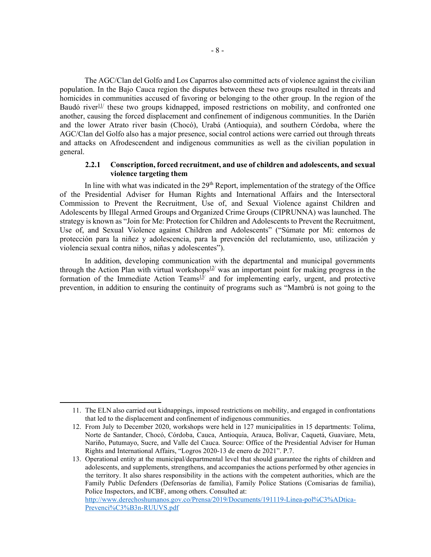The AGC/Clan del Golfo and Los Caparros also committed acts of violence against the civilian population. In the Bajo Cauca region the disputes between these two groups resulted in threats and homicides in communities accused of favoring or belonging to the other group. In the region of the Baudó river<sup>11/</sup> these two groups kidnapped, imposed restrictions on mobility, and confronted one another, causing the forced displacement and confinement of indigenous communities. In the Darién and the lower Atrato river basin (Chocó), Urabá (Antioquia), and southern Córdoba, where the AGC/Clan del Golfo also has a major presence, social control actions were carried out through threats and attacks on Afrodescendent and indigenous communities as well as the civilian population in general.

## 2.2.1 Conscription, forced recruitment, and use of children and adolescents, and sexual violence targeting them

In line with what was indicated in the  $29<sup>th</sup>$  Report, implementation of the strategy of the Office of the Presidential Adviser for Human Rights and International Affairs and the Intersectoral Commission to Prevent the Recruitment, Use of, and Sexual Violence against Children and Adolescents by Illegal Armed Groups and Organized Crime Groups (CIPRUNNA) was launched. The strategy is known as "Join for Me: Protection for Children and Adolescents to Prevent the Recruitment, Use of, and Sexual Violence against Children and Adolescents" ("Súmate por Mí: entornos de protección para la niñez y adolescencia, para la prevención del reclutamiento, uso, utilización y violencia sexual contra niños, niñas y adolescentes").

In addition, developing communication with the departmental and municipal governments through the Action Plan with virtual workshops $12$  was an important point for making progress in the formation of the Immediate Action Teams<sup>13</sup>/ and for implementing early, urgent, and protective prevention, in addition to ensuring the continuity of programs such as "Mambrú is not going to the

<sup>11.</sup> The ELN also carried out kidnappings, imposed restrictions on mobility, and engaged in confrontations that led to the displacement and confinement of indigenous communities.

<sup>12.</sup> From July to December 2020, workshops were held in 127 municipalities in 15 departments: Tolima, Norte de Santander, Chocó, Córdoba, Cauca, Antioquia, Arauca, Bolívar, Caquetá, Guaviare, Meta, Nariño, Putumayo, Sucre, and Valle del Cauca. Source: Office of the Presidential Adviser for Human Rights and International Affairs, "Logros 2020-13 de enero de 2021". P.7.

<sup>13.</sup> Operational entity at the municipal/departmental level that should guarantee the rights of children and adolescents, and supplements, strengthens, and accompanies the actions performed by other agencies in the territory. It also shares responsibility in the actions with the competent authorities, which are the Family Public Defenders (Defensorías de familia), Family Police Stations (Comisarias de familia), Police Inspectors, and ICBF, among others. Consulted at: http://www.derechoshumanos.gov.co/Prensa/2019/Documents/191119-Linea-pol%C3%ADtica-Prevenci%C3%B3n-RUUVS.pdf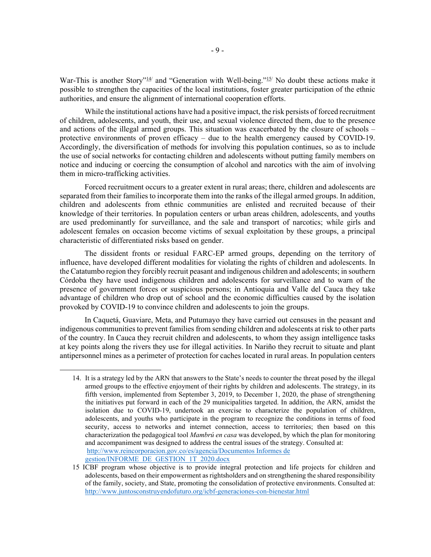War-This is another Story"<sup>14</sup> and "Generation with Well-being."<sup>15</sup> No doubt these actions make it possible to strengthen the capacities of the local institutions, foster greater participation of the ethnic authorities, and ensure the alignment of international cooperation efforts.

While the institutional actions have had a positive impact, the risk persists of forced recruitment of children, adolescents, and youth, their use, and sexual violence directed them, due to the presence and actions of the illegal armed groups. This situation was exacerbated by the closure of schools – protective environments of proven efficacy – due to the health emergency caused by COVID-19. Accordingly, the diversification of methods for involving this population continues, so as to include the use of social networks for contacting children and adolescents without putting family members on notice and inducing or coercing the consumption of alcohol and narcotics with the aim of involving them in micro-trafficking activities.

Forced recruitment occurs to a greater extent in rural areas; there, children and adolescents are separated from their families to incorporate them into the ranks of the illegal armed groups. In addition, children and adolescents from ethnic communities are enlisted and recruited because of their knowledge of their territories. In population centers or urban areas children, adolescents, and youths are used predominantly for surveillance, and the sale and transport of narcotics; while girls and adolescent females on occasion become victims of sexual exploitation by these groups, a principal characteristic of differentiated risks based on gender.

The dissident fronts or residual FARC-EP armed groups, depending on the territory of influence, have developed different modalities for violating the rights of children and adolescents. In the Catatumbo region they forcibly recruit peasant and indigenous children and adolescents; in southern Córdoba they have used indigenous children and adolescents for surveillance and to warn of the presence of government forces or suspicious persons; in Antioquia and Valle del Cauca they take advantage of children who drop out of school and the economic difficulties caused by the isolation provoked by COVID-19 to convince children and adolescents to join the groups.

In Caquetá, Guaviare, Meta, and Putumayo they have carried out censuses in the peasant and indigenous communities to prevent families from sending children and adolescents at risk to other parts of the country. In Cauca they recruit children and adolescents, to whom they assign intelligence tasks at key points along the rivers they use for illegal activities. In Nariño they recruit to situate and plant antipersonnel mines as a perimeter of protection for caches located in rural areas. In population centers

<sup>14.</sup> It is a strategy led by the ARN that answers to the State's needs to counter the threat posed by the illegal armed groups to the effective enjoyment of their rights by children and adolescents. The strategy, in its fifth version, implemented from September 3, 2019, to December 1, 2020, the phase of strengthening the initiatives put forward in each of the 29 municipalities targeted. In addition, the ARN, amidst the isolation due to COVID-19, undertook an exercise to characterize the population of children, adolescents, and youths who participate in the program to recognize the conditions in terms of food security, access to networks and internet connection, access to territories; then based on this characterization the pedagogical tool *Mambrú en casa* was developed, by which the plan for monitoring and accompaniment was designed to address the central issues of the strategy. Consulted at: http://www.reincorporacion.gov.co/es/agencia/Documentos Informes de gestion/INFORME\_DE\_GESTION\_1T\_2020.docx

<sup>15</sup> ICBF program whose objective is to provide integral protection and life projects for children and adolescents, based on their empowerment as rightsholders and on strengthening the shared responsibility of the family, society, and State, promoting the consolidation of protective environments. Consulted at: http://www.juntosconstruyendofuturo.org/icbf-generaciones-con-bienestar.html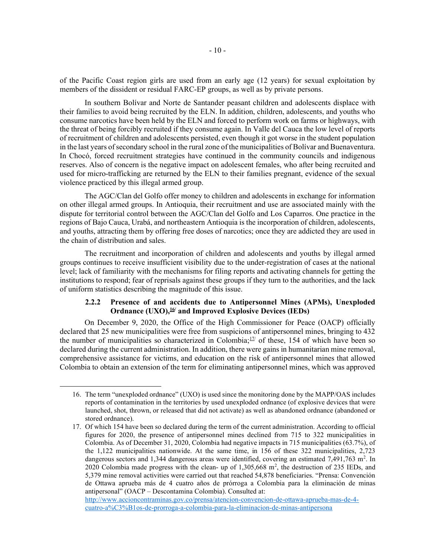of the Pacific Coast region girls are used from an early age (12 years) for sexual exploitation by members of the dissident or residual FARC-EP groups, as well as by private persons.

In southern Bolívar and Norte de Santander peasant children and adolescents displace with their families to avoid being recruited by the ELN. In addition, children, adolescents, and youths who consume narcotics have been held by the ELN and forced to perform work on farms or highways, with the threat of being forcibly recruited if they consume again. In Valle del Cauca the low level of reports of recruitment of children and adolescents persisted, even though it got worse in the student population in the last years of secondary school in the rural zone of the municipalities of Bolívar and Buenaventura. In Chocó, forced recruitment strategies have continued in the community councils and indigenous reserves. Also of concern is the negative impact on adolescent females, who after being recruited and used for micro-trafficking are returned by the ELN to their families pregnant, evidence of the sexual violence practiced by this illegal armed group.

The AGC/Clan del Golfo offer money to children and adolescents in exchange for information on other illegal armed groups. In Antioquia, their recruitment and use are associated mainly with the dispute for territorial control between the AGC/Clan del Golfo and Los Caparros. One practice in the regions of Bajo Cauca, Urabá, and northeastern Antioquia is the incorporation of children, adolescents, and youths, attracting them by offering free doses of narcotics; once they are addicted they are used in the chain of distribution and sales.

The recruitment and incorporation of children and adolescents and youths by illegal armed groups continues to receive insufficient visibility due to the under-registration of cases at the national level; lack of familiarity with the mechanisms for filing reports and activating channels for getting the institutions to respond; fear of reprisals against these groups if they turn to the authorities, and the lack of uniform statistics describing the magnitude of this issue.

# 2.2.2 Presence of and accidents due to Antipersonnel Mines (APMs), Unexploded Ordnance  $(UXO)$ , <sup>16/</sup> and Improved Explosive Devices (IEDs)

On December 9, 2020, the Office of the High Commissioner for Peace (OACP) officially declared that 25 new municipalities were free from suspicions of antipersonnel mines, bringing to 432 the number of municipalities so characterized in Colombia; $\frac{17}{17}$  of these, 154 of which have been so declared during the current administration. In addition, there were gains in humanitarian mine removal, comprehensive assistance for victims, and education on the risk of antipersonnel mines that allowed Colombia to obtain an extension of the term for eliminating antipersonnel mines, which was approved

http://www.accioncontraminas.gov.co/prensa/atencion-convencion-de-ottawa-aprueba-mas-de-4 cuatro-a%C3%B1os-de-prorroga-a-colombia-para-la-eliminacion-de-minas-antipersona

<sup>16.</sup> The term "unexploded ordnance" (UXO) is used since the monitoring done by the MAPP/OAS includes reports of contamination in the territories by used unexploded ordnance (of explosive devices that were launched, shot, thrown, or released that did not activate) as well as abandoned ordnance (abandoned or stored ordnance).

<sup>17.</sup> Of which 154 have been so declared during the term of the current administration. According to official figures for 2020, the presence of antipersonnel mines declined from 715 to 322 municipalities in Colombia. As of December 31, 2020, Colombia had negative impacts in 715 municipalities (63.7%), of the 1,122 municipalities nationwide. At the same time, in 156 of these 322 municipalities, 2,723 dangerous sectors and 1,344 dangerous areas were identified, covering an estimated  $7,491,763$  m<sup>2</sup>. In 2020 Colombia made progress with the clean- up of 1,305,668 m<sup>2</sup>, the destruction of 235 IEDs, and 5,379 mine removal activities were carried out that reached 54,878 beneficiaries. "Prensa: Convención de Ottawa aprueba más de 4 cuatro años de prórroga a Colombia para la eliminación de minas antipersonal" (OACP – Descontamina Colombia). Consulted at: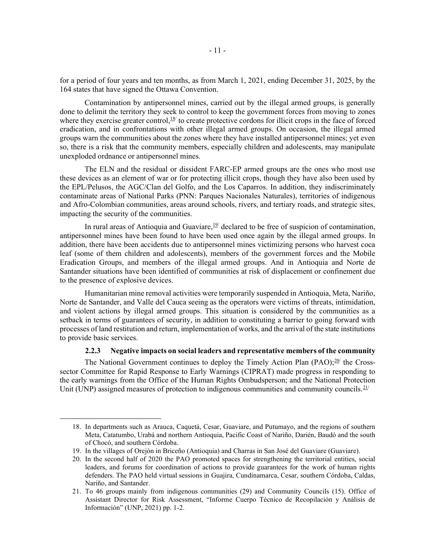for a period of four years and ten months, as from March 1, 2021, ending December 31, 2025, by the 164 states that have signed the Ottawa Convention.

Contamination by antipersonnel mines, carried out by the illegal armed groups, is generally done to delimit the territory they seek to control to keep the government forces from moving to zones where they exercise greater control,  $18/$  to create protective cordons for illicit crops in the face of forced eradication, and in confrontations with other illegal armed groups. On occasion, the illegal armed groups warn the communities about the zones where they have installed antipersonnel mines; yet even so, there is a risk that the community members, especially children and adolescents, may manipulate unexploded ordnance or antipersonnel mines.

The ELN and the residual or dissident FARC-EP armed groups are the ones who most use these devices as an element of war or for protecting illicit crops, though they have also been used by the EPL/Pelusos, the AGC/Clan del Golfo, and the Los Caparros. In addition, they indiscriminately contaminate areas of National Parks (PNN: Parques Nacionales Naturales), territories of indigenous and Afro-Colombian communities, areas around schools, rivers, and tertiary roads, and strategic sites, impacting the security of the communities.

In rural areas of Antioquia and Guaviare,  $19/$  declared to be free of suspicion of contamination, antipersonnel mines have been found to have been used once again by the illegal armed groups. In addition, there have been accidents due to antipersonnel mines victimizing persons who harvest coca leaf (some of them children and adolescents), members of the government forces and the Mobile Eradication Groups, and members of the illegal armed groups. And in Antioquia and Norte de Santander situations have been identified of communities at risk of displacement or confinement due to the presence of explosive devices.

Humanitarian mine removal activities were temporarily suspended in Antioquia, Meta, Nariño, Norte de Santander, and Valle del Cauca seeing as the operators were victims of threats, intimidation, and violent actions by illegal armed groups. This situation is considered by the communities as a setback in terms of guarantees of security, in addition to constituting a barrier to going forward with processes of land restitution and return, implementation of works, and the arrival of the state institutions to provide basic services.

### 2.2.3 Negative impacts on social leaders and representative members of the community

The National Government continues to deploy the Timely Action Plan  $(PAO)$ ;  $20/$  the Crosssector Committee for Rapid Response to Early Warnings (CIPRAT) made progress in responding to the early warnings from the Office of the Human Rights Ombudsperson; and the National Protection Unit (UNP) assigned measures of protection to indigenous communities and community councils.<sup>21/</sup>

<sup>18.</sup> In departments such as Arauca, Caquetá, Cesar, Guaviare, and Putumayo, and the regions of southern Meta, Catatumbo, Urabá and northern Antioquia, Pacific Coast of Nariño, Darién, Baudó and the south of Chocó, and southern Córdoba.

<sup>19.</sup> In the villages of Orejón in Briceño (Antioquia) and Charras in San José del Guaviare (Guaviare).

<sup>20.</sup> In the second half of 2020 the PAO promoted spaces for strengthening the territorial entities, social leaders, and forums for coordination of actions to provide guarantees for the work of human rights defenders. The PAO held virtual sessions in Guajira, Cundinamarca, Cesar, southern Córdoba, Caldas, Nariño, and Santander.

<sup>21.</sup> To 46 groups mainly from indigenous communities (29) and Community Councils (15). Office of Assistant Director for Risk Assessment, "Informe Cuerpo Técnico de Recopilación y Análisis de Información" (UNP, 2021) pp. 1-2.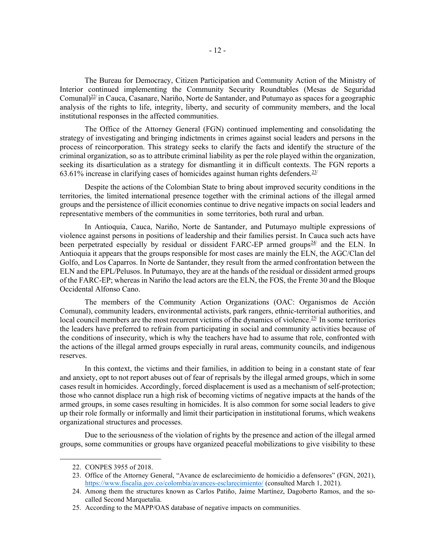The Bureau for Democracy, Citizen Participation and Community Action of the Ministry of Interior continued implementing the Community Security Roundtables (Mesas de Seguridad Comunal) $^{22}$  in Cauca, Casanare, Nariño, Norte de Santander, and Putumayo as spaces for a geographic analysis of the rights to life, integrity, liberty, and security of community members, and the local institutional responses in the affected communities.

The Office of the Attorney General (FGN) continued implementing and consolidating the strategy of investigating and bringing indictments in crimes against social leaders and persons in the process of reincorporation. This strategy seeks to clarify the facts and identify the structure of the criminal organization, so as to attribute criminal liability as per the role played within the organization, seeking its disarticulation as a strategy for dismantling it in difficult contexts. The FGN reports a 63.61% increase in clarifying cases of homicides against human rights defenders.  $23/$ 

Despite the actions of the Colombian State to bring about improved security conditions in the territories, the limited international presence together with the criminal actions of the illegal armed groups and the persistence of illicit economies continue to drive negative impacts on social leaders and representative members of the communities in some territories, both rural and urban.

In Antioquia, Cauca, Nariño, Norte de Santander, and Putumayo multiple expressions of violence against persons in positions of leadership and their families persist. In Cauca such acts have been perpetrated especially by residual or dissident FARC-EP armed groups<sup>24/</sup> and the ELN. In Antioquia it appears that the groups responsible for most cases are mainly the ELN, the AGC/Clan del Golfo, and Los Caparros. In Norte de Santander, they result from the armed confrontation between the ELN and the EPL/Pelusos. In Putumayo, they are at the hands of the residual or dissident armed groups of the FARC-EP; whereas in Nariño the lead actors are the ELN, the FOS, the Frente 30 and the Bloque Occidental Alfonso Cano.

The members of the Community Action Organizations (OAC: Organismos de Acción Comunal), community leaders, environmental activists, park rangers, ethnic-territorial authorities, and local council members are the most recurrent victims of the dynamics of violence.<sup>25/</sup> In some territories the leaders have preferred to refrain from participating in social and community activities because of the conditions of insecurity, which is why the teachers have had to assume that role, confronted with the actions of the illegal armed groups especially in rural areas, community councils, and indigenous reserves.

In this context, the victims and their families, in addition to being in a constant state of fear and anxiety, opt to not report abuses out of fear of reprisals by the illegal armed groups, which in some cases result in homicides. Accordingly, forced displacement is used as a mechanism of self-protection; those who cannot displace run a high risk of becoming victims of negative impacts at the hands of the armed groups, in some cases resulting in homicides. It is also common for some social leaders to give up their role formally or informally and limit their participation in institutional forums, which weakens organizational structures and processes.

Due to the seriousness of the violation of rights by the presence and action of the illegal armed groups, some communities or groups have organized peaceful mobilizations to give visibility to these

<sup>22.</sup> CONPES 3955 of 2018.

<sup>23.</sup> Office of the Attorney General, "Avance de esclarecimiento de homicidio a defensores" (FGN, 2021), https://www.fiscalia.gov.co/colombia/avances-esclarecimiento/ (consulted March 1, 2021).

<sup>24.</sup> Among them the structures known as Carlos Patiño, Jaime Martínez, Dagoberto Ramos, and the socalled Second Marquetalia.

<sup>25.</sup> According to the MAPP/OAS database of negative impacts on communities.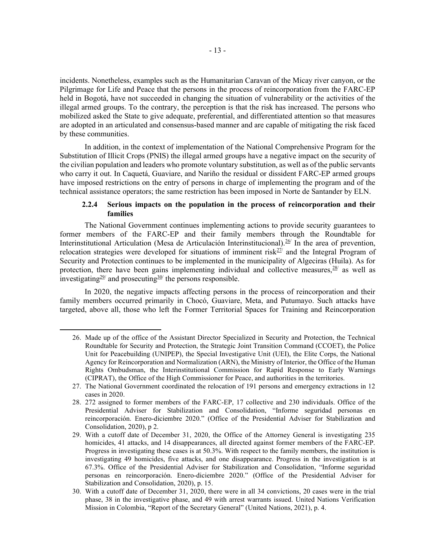incidents. Nonetheless, examples such as the Humanitarian Caravan of the Micay river canyon, or the Pilgrimage for Life and Peace that the persons in the process of reincorporation from the FARC-EP held in Bogotá, have not succeeded in changing the situation of vulnerability or the activities of the illegal armed groups. To the contrary, the perception is that the risk has increased. The persons who mobilized asked the State to give adequate, preferential, and differentiated attention so that measures are adopted in an articulated and consensus-based manner and are capable of mitigating the risk faced by these communities.

In addition, in the context of implementation of the National Comprehensive Program for the Substitution of Illicit Crops (PNIS) the illegal armed groups have a negative impact on the security of the civilian population and leaders who promote voluntary substitution, as well as of the public servants who carry it out. In Caquetá, Guaviare, and Nariño the residual or dissident FARC-EP armed groups have imposed restrictions on the entry of persons in charge of implementing the program and of the technical assistance operators; the same restriction has been imposed in Norte de Santander by ELN.

## 2.2.4 Serious impacts on the population in the process of reincorporation and their families

The National Government continues implementing actions to provide security guarantees to former members of the FARC-EP and their family members through the Roundtable for Interinstitutional Articulation (Mesa de Articulación Interinstitucional).<sup>26/</sup> In the area of prevention, relocation strategies were developed for situations of imminent risk $2^{2/7}$  and the Integral Program of Security and Protection continues to be implemented in the municipality of Algeciras (Huila). As for protection, there have been gains implementing individual and collective measures,  $28/$  as well as investigating $29$  and prosecuting  $30$  the persons responsible.

In 2020, the negative impacts affecting persons in the process of reincorporation and their family members occurred primarily in Chocó, Guaviare, Meta, and Putumayo. Such attacks have targeted, above all, those who left the Former Territorial Spaces for Training and Reincorporation

<sup>26.</sup> Made up of the office of the Assistant Director Specialized in Security and Protection, the Technical Roundtable for Security and Protection, the Strategic Joint Transition Command (CCOET), the Police Unit for Peacebuilding (UNIPEP), the Special Investigative Unit (UEI), the Elite Corps, the National Agency for Reincorporation and Normalization (ARN), the Ministry of Interior, the Office of the Human Rights Ombudsman, the Interinstitutional Commission for Rapid Response to Early Warnings (CIPRAT), the Office of the High Commissioner for Peace, and authorities in the territories.

<sup>27.</sup> The National Government coordinated the relocation of 191 persons and emergency extractions in 12 cases in 2020.

<sup>28. 272</sup> assigned to former members of the FARC-EP, 17 collective and 230 individuals. Office of the Presidential Adviser for Stabilization and Consolidation, "Informe seguridad personas en reincorporación. Enero-diciembre 2020." (Office of the Presidential Adviser for Stabilization and Consolidation, 2020), p 2.

<sup>29.</sup> With a cutoff date of December 31, 2020, the Office of the Attorney General is investigating 235 homicides, 41 attacks, and 14 disappearances, all directed against former members of the FARC-EP. Progress in investigating these cases is at 50.3%. With respect to the family members, the institution is investigating 49 homicides, five attacks, and one disappearance. Progress in the investigation is at 67.3%. Office of the Presidential Adviser for Stabilization and Consolidation, "Informe seguridad personas en reincorporación. Enero-diciembre 2020." (Office of the Presidential Adviser for Stabilization and Consolidation, 2020), p. 15.

<sup>30.</sup> With a cutoff date of December 31, 2020, there were in all 34 convictions, 20 cases were in the trial phase, 38 in the investigative phase, and 49 with arrest warrants issued. United Nations Verification Mission in Colombia, "Report of the Secretary General" (United Nations, 2021), p. 4.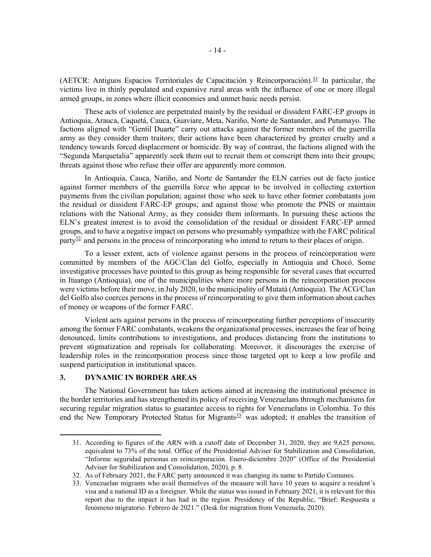(AETCR: Antiguos Espacios Territoriales de Capacitación y Reincorporación).<sup>31/</sup> In particular, the victims live in thinly populated and expansive rural areas with the influence of one or more illegal armed groups, in zones where illicit economies and unmet basic needs persist.

These acts of violence are perpetrated mainly by the residual or dissident FARC-EP groups in Antioquia, Arauca, Caquetá, Cauca, Guaviare, Meta, Nariño, Norte de Santander, and Putumayo. The factions aligned with "Gentil Duarte" carry out attacks against the former members of the guerrilla army as they consider them traitors; their actions have been characterized by greater cruelty and a tendency towards forced displacement or homicide. By way of contrast, the factions aligned with the "Segunda Marquetalia" apparently seek them out to recruit them or conscript them into their groups; threats against those who refuse their offer are apparently more common.

In Antioquia, Cauca, Nariño, and Norte de Santander the ELN carries out de facto justice against former members of the guerrilla force who appear to be involved in collecting extortion payments from the civilian population; against those who seek to have other former combatants join the residual or dissident FARC-EP groups; and against those who promote the PNIS or maintain relations with the National Army, as they consider them informants. In pursuing these actions the ELN's greatest interest is to avoid the consolidation of the residual or dissident FARC-EP armed groups, and to have a negative impact on persons who presumably sympathize with the FARC political party $\frac{32}{7}$  and persons in the process of reincorporating who intend to return to their places of origin.

To a lesser extent, acts of violence against persons in the process of reincorporation were committed by members of the AGC/Clan del Golfo, especially in Antioquia and Chocó. Some investigative processes have pointed to this group as being responsible for several cases that occurred in Ituango (Antioquia), one of the municipalities where more persons in the reincorporation process were victims before their move, in July 2020, to the municipality of Mutatá (Antioquia). The ACG/Clan del Golfo also coerces persons in the process of reincorporating to give them information about caches of money or weapons of the former FARC.

Violent acts against persons in the process of reincorporating further perceptions of insecurity among the former FARC combatants, weakens the organizational processes, increases the fear of being denounced, limits contributions to investigations, and produces distancing from the institutions to prevent stigmatization and reprisals for collaborating. Moreover, it discourages the exercise of leadership roles in the reincorporation process since those targeted opt to keep a low profile and suspend participation in institutional spaces.

### 3. DYNAMIC IN BORDER AREAS

The National Government has taken actions aimed at increasing the institutional presence in the border territories and has strengthened its policy of receiving Venezuelans through mechanisms for securing regular migration status to guarantee access to rights for Venezuelans in Colombia. To this end the New Temporary Protected Status for Migrants<sup>33</sup> was adopted; it enables the transition of

<sup>31.</sup> According to figures of the ARN with a cutoff date of December 31, 2020, they are 9,625 persons, equivalent to 73% of the total. Office of the Presidential Adviser for Stabilization and Consolidation, "Informe seguridad personas en reincorporación. Enero-diciembre 2020" (Office of the Presidential Adviser for Stabilization and Consolidation, 2020), p. 8.

<sup>32.</sup> As of February 2021, the FARC party announced it was changing its name to Partido Comunes.

<sup>33.</sup> Venezuelan migrants who avail themselves of the measure will have 10 years to acquire a resident's visa and a national ID as a foreigner. While the status was issued in February 2021, it is relevant for this report due to the impact it has had in the region. Presidency of the Republic, "Brief: Respuesta a fenómeno migratorio. Febrero de 2021." (Desk for migration from Venezuela, 2020).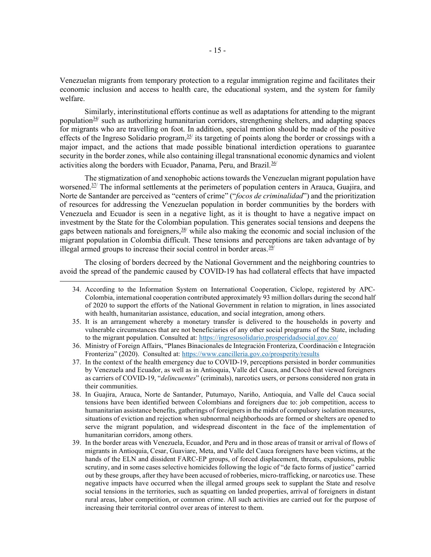Venezuelan migrants from temporary protection to a regular immigration regime and facilitates their economic inclusion and access to health care, the educational system, and the system for family welfare.

Similarly, interinstitutional efforts continue as well as adaptations for attending to the migrant population $\frac{34}{4}$  such as authorizing humanitarian corridors, strengthening shelters, and adapting spaces for migrants who are travelling on foot. In addition, special mention should be made of the positive effects of the Ingreso Solidario program,<sup>35/</sup> its targeting of points along the border or crossings with a major impact, and the actions that made possible binational interdiction operations to guarantee security in the border zones, while also containing illegal transnational economic dynamics and violent activities along the borders with Ecuador, Panama, Peru, and Brazil.<sup>36/</sup>

The stigmatization of and xenophobic actions towards the Venezuelan migrant population have worsened.<sup>37/</sup> The informal settlements at the perimeters of population centers in Arauca, Guajira, and Norte de Santander are perceived as "centers of crime" ("focos de criminalidad") and the prioritization of resources for addressing the Venezuelan population in border communities by the borders with Venezuela and Ecuador is seen in a negative light, as it is thought to have a negative impact on investment by the State for the Colombian population. This generates social tensions and deepens the gaps between nationals and foreigners,  $\frac{38}{3}$  while also making the economic and social inclusion of the migrant population in Colombia difficult. These tensions and perceptions are taken advantage of by illegal armed groups to increase their social control in border areas.  $39/2$ 

The closing of borders decreed by the National Government and the neighboring countries to avoid the spread of the pandemic caused by COVID-19 has had collateral effects that have impacted

<sup>34.</sup> According to the Information System on International Cooperation, Ciclope, registered by APC-Colombia, international cooperation contributed approximately 93 million dollars during the second half of 2020 to support the efforts of the National Government in relation to migration, in lines associated with health, humanitarian assistance, education, and social integration, among others.

<sup>35.</sup> It is an arrangement whereby a monetary transfer is delivered to the households in poverty and vulnerable circumstances that are not beneficiaries of any other social programs of the State, including to the migrant population. Consulted at: https://ingresosolidario.prosperidadsocial.gov.co/

<sup>36.</sup> Ministry of Foreign Affairs, "Planes Binacionales de Integración Fronteriza, Coordinación e Integración Fronteriza" (2020). Consulted at: https://www.cancilleria.gov.co/prosperity/results

<sup>37.</sup> In the context of the health emergency due to COVID-19, perceptions persisted in border communities by Venezuela and Ecuador, as well as in Antioquia, Valle del Cauca, and Chocó that viewed foreigners as carriers of COVID-19, "delincuentes" (criminals), narcotics users, or persons considered non grata in their communities.

<sup>38.</sup> In Guajira, Arauca, Norte de Santander, Putumayo, Nariño, Antioquia, and Valle del Cauca social tensions have been identified between Colombians and foreigners due to: job competition, access to humanitarian assistance benefits, gatherings of foreigners in the midst of compulsory isolation measures, situations of eviction and rejection when subnormal neighborhoods are formed or shelters are opened to serve the migrant population, and widespread discontent in the face of the implementation of humanitarian corridors, among others.

<sup>39.</sup> In the border areas with Venezuela, Ecuador, and Peru and in those areas of transit or arrival of flows of migrants in Antioquia, Cesar, Guaviare, Meta, and Valle del Cauca foreigners have been victims, at the hands of the ELN and dissident FARC-EP groups, of forced displacement, threats, expulsions, public scrutiny, and in some cases selective homicides following the logic of "de facto forms of justice" carried out by these groups, after they have been accused of robberies, micro-trafficking, or narcotics use. These negative impacts have occurred when the illegal armed groups seek to supplant the State and resolve social tensions in the territories, such as squatting on landed properties, arrival of foreigners in distant rural areas, labor competition, or common crime. All such activities are carried out for the purpose of increasing their territorial control over areas of interest to them.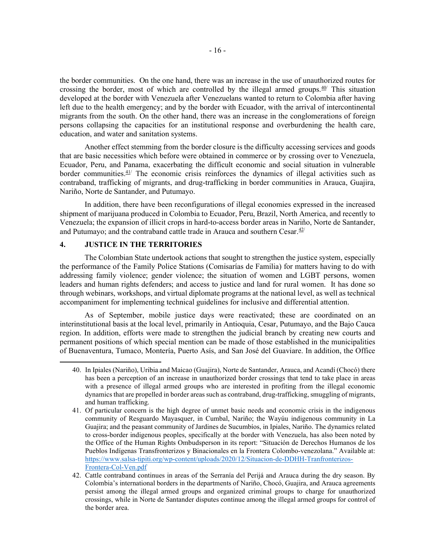the border communities. On the one hand, there was an increase in the use of unauthorized routes for crossing the border, most of which are controlled by the illegal armed groups. $40/$  This situation developed at the border with Venezuela after Venezuelans wanted to return to Colombia after having left due to the health emergency; and by the border with Ecuador, with the arrival of intercontinental migrants from the south. On the other hand, there was an increase in the conglomerations of foreign persons collapsing the capacities for an institutional response and overburdening the health care, education, and water and sanitation systems.

Another effect stemming from the border closure is the difficulty accessing services and goods that are basic necessities which before were obtained in commerce or by crossing over to Venezuela, Ecuador, Peru, and Panama, exacerbating the difficult economic and social situation in vulnerable border communities. $41/$  The economic crisis reinforces the dynamics of illegal activities such as contraband, trafficking of migrants, and drug-trafficking in border communities in Arauca, Guajira, Nariño, Norte de Santander, and Putumayo.

In addition, there have been reconfigurations of illegal economies expressed in the increased shipment of marijuana produced in Colombia to Ecuador, Peru, Brazil, North America, and recently to Venezuela; the expansion of illicit crops in hard-to-access border areas in Nariño, Norte de Santander, and Putumayo; and the contraband cattle trade in Arauca and southern Cesar. $42$ <sup>/</sup>

# 4. JUSTICE IN THE TERRITORIES

The Colombian State undertook actions that sought to strengthen the justice system, especially the performance of the Family Police Stations (Comisarías de Familia) for matters having to do with addressing family violence; gender violence; the situation of women and LGBT persons, women leaders and human rights defenders; and access to justice and land for rural women. It has done so through webinars, workshops, and virtual diplomate programs at the national level, as well as technical accompaniment for implementing technical guidelines for inclusive and differential attention.

As of September, mobile justice days were reactivated; these are coordinated on an interinstitutional basis at the local level, primarily in Antioquia, Cesar, Putumayo, and the Bajo Cauca region. In addition, efforts were made to strengthen the judicial branch by creating new courts and permanent positions of which special mention can be made of those established in the municipalities of Buenaventura, Tumaco, Montería, Puerto Asís, and San José del Guaviare. In addition, the Office

<sup>40.</sup> In Ipiales (Nariño), Uribia and Maicao (Guajira), Norte de Santander, Arauca, and Acandí (Chocó) there has been a perception of an increase in unauthorized border crossings that tend to take place in areas with a presence of illegal armed groups who are interested in profiting from the illegal economic dynamics that are propelled in border areas such as contraband, drug-trafficking, smuggling of migrants, and human trafficking.

<sup>41.</sup> Of particular concern is the high degree of unmet basic needs and economic crisis in the indigenous community of Resguardo Mayasquer, in Cumbal, Nariño; the Wayúu indigenous community in La Guajira; and the peasant community of Jardines de Sucumbíos, in Ipiales, Nariño. The dynamics related to cross-border indigenous peoples, specifically at the border with Venezuela, has also been noted by the Office of the Human Rights Ombudsperson in its report: "Situación de Derechos Humanos de los Pueblos Indígenas Transfronterizos y Binacionales en la Frontera Colombo-venezolana." Available at: https://www.salsa-tipiti.org/wp-content/uploads/2020/12/Situacion-de-DDHH-Tranfronterizos-Frontera-Col-Ven.pdf

<sup>42.</sup> Cattle contraband continues in areas of the Serranía del Perijá and Arauca during the dry season. By Colombia's international borders in the departments of Nariño, Chocó, Guajira, and Arauca agreements persist among the illegal armed groups and organized criminal groups to charge for unauthorized crossings, while in Norte de Santander disputes continue among the illegal armed groups for control of the border area.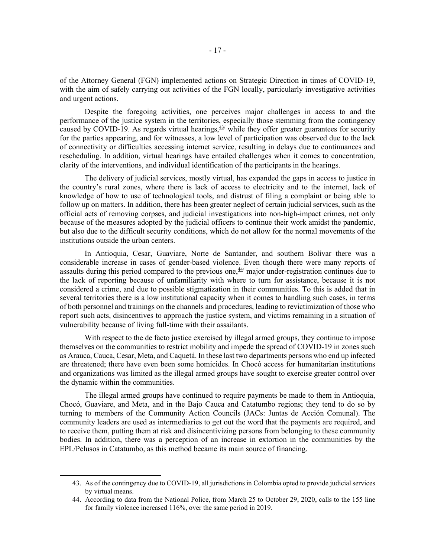of the Attorney General (FGN) implemented actions on Strategic Direction in times of COVID-19, with the aim of safely carrying out activities of the FGN locally, particularly investigative activities and urgent actions.

Despite the foregoing activities, one perceives major challenges in access to and the performance of the justice system in the territories, especially those stemming from the contingency caused by COVID-19. As regards virtual hearings,  $43/$  while they offer greater guarantees for security for the parties appearing, and for witnesses, a low level of participation was observed due to the lack of connectivity or difficulties accessing internet service, resulting in delays due to continuances and rescheduling. In addition, virtual hearings have entailed challenges when it comes to concentration, clarity of the interventions, and individual identification of the participants in the hearings.

The delivery of judicial services, mostly virtual, has expanded the gaps in access to justice in the country's rural zones, where there is lack of access to electricity and to the internet, lack of knowledge of how to use of technological tools, and distrust of filing a complaint or being able to follow up on matters. In addition, there has been greater neglect of certain judicial services, such as the official acts of removing corpses, and judicial investigations into non-high-impact crimes, not only because of the measures adopted by the judicial officers to continue their work amidst the pandemic, but also due to the difficult security conditions, which do not allow for the normal movements of the institutions outside the urban centers.

In Antioquia, Cesar, Guaviare, Norte de Santander, and southern Bolívar there was a considerable increase in cases of gender-based violence. Even though there were many reports of assaults during this period compared to the previous one, $\frac{44}{1}$  major under-registration continues due to the lack of reporting because of unfamiliarity with where to turn for assistance, because it is not considered a crime, and due to possible stigmatization in their communities. To this is added that in several territories there is a low institutional capacity when it comes to handling such cases, in terms of both personnel and trainings on the channels and procedures, leading to revictimization of those who report such acts, disincentives to approach the justice system, and victims remaining in a situation of vulnerability because of living full-time with their assailants.

With respect to the de facto justice exercised by illegal armed groups, they continue to impose themselves on the communities to restrict mobility and impede the spread of COVID-19 in zones such as Arauca, Cauca, Cesar, Meta, and Caquetá. In these last two departments persons who end up infected are threatened; there have even been some homicides. In Chocó access for humanitarian institutions and organizations was limited as the illegal armed groups have sought to exercise greater control over the dynamic within the communities.

The illegal armed groups have continued to require payments be made to them in Antioquia, Chocó, Guaviare, and Meta, and in the Bajo Cauca and Catatumbo regions; they tend to do so by turning to members of the Community Action Councils (JACs: Juntas de Acción Comunal). The community leaders are used as intermediaries to get out the word that the payments are required, and to receive them, putting them at risk and disincentivizing persons from belonging to these community bodies. In addition, there was a perception of an increase in extortion in the communities by the EPL/Pelusos in Catatumbo, as this method became its main source of financing.

<sup>43.</sup> As of the contingency due to COVID-19, all jurisdictions in Colombia opted to provide judicial services by virtual means.

<sup>44.</sup> According to data from the National Police, from March 25 to October 29, 2020, calls to the 155 line for family violence increased 116%, over the same period in 2019.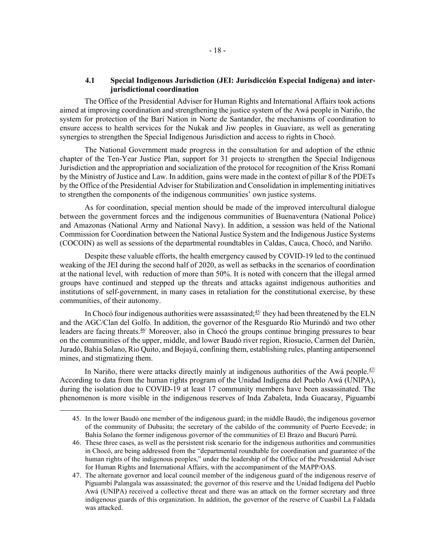# 4.1 Special Indigenous Jurisdiction (JEI: Jurisdicción Especial Indígena) and interjurisdictional coordination

The Office of the Presidential Adviser for Human Rights and International Affairs took actions aimed at improving coordination and strengthening the justice system of the Awá people in Nariño, the system for protection of the Barí Nation in Norte de Santander, the mechanisms of coordination to ensure access to health services for the Nukak and Jiw peoples in Guaviare, as well as generating synergies to strengthen the Special Indigenous Jurisdiction and access to rights in Chocó.

The National Government made progress in the consultation for and adoption of the ethnic chapter of the Ten-Year Justice Plan, support for 31 projects to strengthen the Special Indigenous Jurisdiction and the appropriation and socialization of the protocol for recognition of the Kriss Romaní by the Ministry of Justice and Law. In addition, gains were made in the context of pillar 8 of the PDETs by the Office of the Presidential Adviser for Stabilization and Consolidation in implementing initiatives to strengthen the components of the indigenous communities' own justice systems.

As for coordination, special mention should be made of the improved intercultural dialogue between the government forces and the indigenous communities of Buenaventura (National Police) and Amazonas (National Army and National Navy). In addition, a session was held of the National Commission for Coordination between the National Justice System and the Indigenous Justice Systems (COCOIN) as well as sessions of the departmental roundtables in Caldas, Cauca, Chocó, and Nariño.

Despite these valuable efforts, the health emergency caused by COVID-19 led to the continued weaking of the JEI during the second half of 2020, as well as setbacks in the scenarios of coordination at the national level, with reduction of more than 50%. It is noted with concern that the illegal armed groups have continued and stepped up the threats and attacks against indigenous authorities and institutions of self-government, in many cases in retaliation for the constitutional exercise, by these communities, of their autonomy.

In Chocó four indigenous authorities were assassinated; $45$ <sup>they</sup> had been threatened by the ELN and the AGC/Clan del Golfo. In addition, the governor of the Resguardo Río Murindó and two other leaders are facing threats.46/ Moreover, also in Chocó the groups continue bringing pressures to bear on the communities of the upper, middle, and lower Baudó river region, Riosucio, Carmen del Darién, Juradó, Bahía Solano, Rio Quito, and Bojayá, confining them, establishing rules, planting antipersonnel mines, and stigmatizing them.

In Nariño, there were attacks directly mainly at indigenous authorities of the Awá people. $\frac{47}{1}$ According to data from the human rights program of the Unidad Indígena del Pueblo Awá (UNIPA), during the isolation due to COVID-19 at least 17 community members have been assassinated. The phenomenon is more visible in the indigenous reserves of Inda Zabaleta, Inda Guacaray, Piguambi

<sup>45.</sup> In the lower Baudó one member of the indigenous guard; in the middle Baudó, the indigenous governor of the community of Dubasita; the secretary of the cabildo of the community of Puerto Ecevede; in Bahía Solano the former indigenous governor of the communities of El Brazo and Bucurú Purrú.

<sup>46.</sup> These three cases, as well as the persistent risk scenario for the indigenous authorities and communities in Chocó, are being addressed from the "departmental roundtable for coordination and guarantee of the human rights of the indigenous peoples," under the leadership of the Office of the Presidential Adviser for Human Rights and International Affairs, with the accompaniment of the MAPP/OAS.

<sup>47.</sup> The alternate governor and local council member of the indigenous guard of the indigenous reserve of Piguambí Palangala was assassinated; the governor of this reserve and the Unidad Indígena del Pueblo Awá (UNIPA) received a collective threat and there was an attack on the former secretary and three indigenous guards of this organization. In addition, the governor of the reserve of Cuasbil La Faldada was attacked.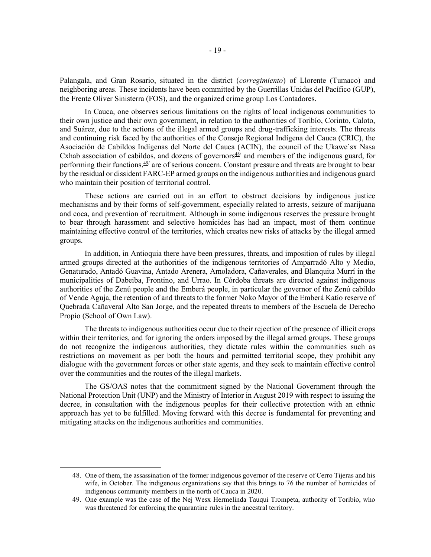Palangala, and Gran Rosario, situated in the district (*corregimiento*) of Llorente (Tumaco) and neighboring areas. These incidents have been committed by the Guerrillas Unidas del Pacífico (GUP), the Frente Oliver Sinisterra (FOS), and the organized crime group Los Contadores.

In Cauca, one observes serious limitations on the rights of local indigenous communities to their own justice and their own government, in relation to the authorities of Toribío, Corinto, Caloto, and Suárez, due to the actions of the illegal armed groups and drug-trafficking interests. The threats and continuing risk faced by the authorities of the Consejo Regional Indígena del Cauca (CRIC), the Asociación de Cabildos Indígenas del Norte del Cauca (ACIN), the council of the Ukawe`sx Nasa Cxhab association of cabildos, and dozens of governors $48$ <sup>*/*</sup> and members of the indigenous guard, for performing their functions,  $\frac{49}{2}$  are of serious concern. Constant pressure and threats are brought to bear by the residual or dissident FARC-EP armed groups on the indigenous authorities and indigenous guard who maintain their position of territorial control.

These actions are carried out in an effort to obstruct decisions by indigenous justice mechanisms and by their forms of self-government, especially related to arrests, seizure of marijuana and coca, and prevention of recruitment. Although in some indigenous reserves the pressure brought to bear through harassment and selective homicides has had an impact, most of them continue maintaining effective control of the territories, which creates new risks of attacks by the illegal armed groups.

In addition, in Antioquia there have been pressures, threats, and imposition of rules by illegal armed groups directed at the authorities of the indigenous territories of Amparradó Alto y Medio, Genaturado, Antadó Guavina, Antado Arenera, Amoladora, Cañaverales, and Blanquita Murrí in the municipalities of Dabeiba, Frontino, and Urrao. In Córdoba threats are directed against indigenous authorities of the Zenú people and the Emberá people, in particular the governor of the Zenú cabildo of Vende Aguja, the retention of and threats to the former Noko Mayor of the Emberá Katío reserve of Quebrada Cañaveral Alto San Jorge, and the repeated threats to members of the Escuela de Derecho Propio (School of Own Law).

The threats to indigenous authorities occur due to their rejection of the presence of illicit crops within their territories, and for ignoring the orders imposed by the illegal armed groups. These groups do not recognize the indigenous authorities, they dictate rules within the communities such as restrictions on movement as per both the hours and permitted territorial scope, they prohibit any dialogue with the government forces or other state agents, and they seek to maintain effective control over the communities and the routes of the illegal markets.

The GS/OAS notes that the commitment signed by the National Government through the National Protection Unit (UNP) and the Ministry of Interior in August 2019 with respect to issuing the decree, in consultation with the indigenous peoples for their collective protection with an ethnic approach has yet to be fulfilled. Moving forward with this decree is fundamental for preventing and mitigating attacks on the indigenous authorities and communities.

<sup>48.</sup> One of them, the assassination of the former indigenous governor of the reserve of Cerro Tijeras and his wife, in October. The indigenous organizations say that this brings to 76 the number of homicides of indigenous community members in the north of Cauca in 2020.

<sup>49.</sup> One example was the case of the Nej Wesx Hermelinda Tauqui Trompeta, authority of Toribío, who was threatened for enforcing the quarantine rules in the ancestral territory.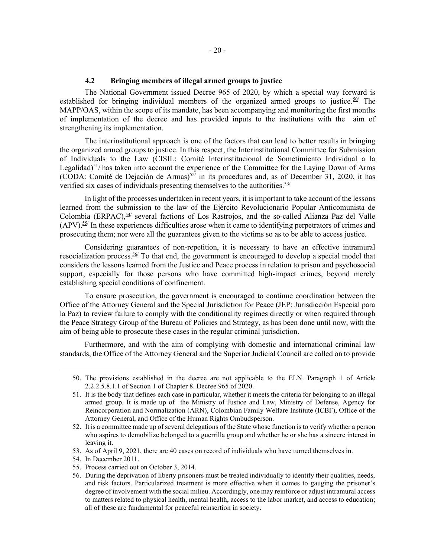# 4.2 Bringing members of illegal armed groups to justice

The National Government issued Decree 965 of 2020, by which a special way forward is established for bringing individual members of the organized armed groups to justice.<sup>50</sup> The MAPP/OAS, within the scope of its mandate, has been accompanying and monitoring the first months of implementation of the decree and has provided inputs to the institutions with the aim of strengthening its implementation.

The interinstitutional approach is one of the factors that can lead to better results in bringing the organized armed groups to justice. In this respect, the Interinstitutional Committee for Submission of Individuals to the Law (CISIL: Comité Interinstitucional de Sometimiento Individual a la Legalidad) $51/$  has taken into account the experience of the Committee for the Laying Down of Arms (CODA: Comité de Dejación de Armas) $52/$  in its procedures and, as of December 31, 2020, it has verified six cases of individuals presenting themselves to the authorities. $53/$ 

In light of the processes undertaken in recent years, it is important to take account of the lessons learned from the submission to the law of the Ejército Revolucionario Popular Anticomunista de Colombia (ERPAC), $54$ / several factions of Los Rastrojos, and the so-called Alianza Paz del Valle  $(APV)$ .<sup>55/</sup> In these experiences difficulties arose when it came to identifying perpetrators of crimes and prosecuting them; nor were all the guarantees given to the victims so as to be able to access justice.

Considering guarantees of non-repetition, it is necessary to have an effective intramural resocialization process.<sup>56/</sup> To that end, the government is encouraged to develop a special model that considers the lessons learned from the Justice and Peace process in relation to prison and psychosocial support, especially for those persons who have committed high-impact crimes, beyond merely establishing special conditions of confinement.

To ensure prosecution, the government is encouraged to continue coordination between the Office of the Attorney General and the Special Jurisdiction for Peace (JEP: Jurisdicción Especial para la Paz) to review failure to comply with the conditionality regimes directly or when required through the Peace Strategy Group of the Bureau of Policies and Strategy, as has been done until now, with the aim of being able to prosecute these cases in the regular criminal jurisdiction.

Furthermore, and with the aim of complying with domestic and international criminal law standards, the Office of the Attorney General and the Superior Judicial Council are called on to provide

<sup>50.</sup> The provisions established in the decree are not applicable to the ELN. Paragraph 1 of Article 2.2.2.5.8.1.1 of Section 1 of Chapter 8. Decree 965 of 2020.

<sup>51.</sup> It is the body that defines each case in particular, whether it meets the criteria for belonging to an illegal armed group. It is made up of the Ministry of Justice and Law, Ministry of Defense, Agency for Reincorporation and Normalization (ARN), Colombian Family Welfare Institute (ICBF), Office of the Attorney General, and Office of the Human Rights Ombudsperson.

<sup>52.</sup> It is a committee made up of several delegations of the State whose function is to verify whether a person who aspires to demobilize belonged to a guerrilla group and whether he or she has a sincere interest in leaving it.

<sup>53.</sup> As of April 9, 2021, there are 40 cases on record of individuals who have turned themselves in.

<sup>54.</sup> In December 2011.

<sup>55.</sup> Process carried out on October 3, 2014.

<sup>56.</sup> During the deprivation of liberty prisoners must be treated individually to identify their qualities, needs, and risk factors. Particularized treatment is more effective when it comes to gauging the prisoner's degree of involvement with the social milieu. Accordingly, one may reinforce or adjust intramural access to matters related to physical health, mental health, access to the labor market, and access to education; all of these are fundamental for peaceful reinsertion in society.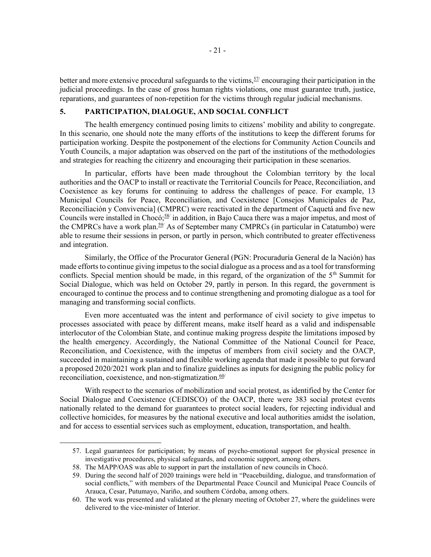better and more extensive procedural safeguards to the victims,  $57/$  encouraging their participation in the judicial proceedings. In the case of gross human rights violations, one must guarantee truth, justice, reparations, and guarantees of non-repetition for the victims through regular judicial mechanisms.

### 5. PARTICIPATION, DIALOGUE, AND SOCIAL CONFLICT

The health emergency continued posing limits to citizens' mobility and ability to congregate. In this scenario, one should note the many efforts of the institutions to keep the different forums for participation working. Despite the postponement of the elections for Community Action Councils and Youth Councils, a major adaptation was observed on the part of the institutions of the methodologies and strategies for reaching the citizenry and encouraging their participation in these scenarios.

In particular, efforts have been made throughout the Colombian territory by the local authorities and the OACP to install or reactivate the Territorial Councils for Peace, Reconciliation, and Coexistence as key forums for continuing to address the challenges of peace. For example, 13 Municipal Councils for Peace, Reconciliation, and Coexistence [Consejos Municipales de Paz, Reconciliación y Convivencia] (CMPRC) were reactivated in the department of Caquetá and five new Councils were installed in Chocó;<sup>58/</sup> in addition, in Bajo Cauca there was a major impetus, and most of the CMPRCs have a work plan.<sup>59</sup>/ As of September many CMPRCs (in particular in Catatumbo) were able to resume their sessions in person, or partly in person, which contributed to greater effectiveness and integration.

Similarly, the Office of the Procurator General (PGN: Procuraduría General de la Nación) has made efforts to continue giving impetus to the social dialogue as a process and as a tool for transforming conflicts. Special mention should be made, in this regard, of the organization of the  $5<sup>th</sup>$  Summit for Social Dialogue, which was held on October 29, partly in person. In this regard, the government is encouraged to continue the process and to continue strengthening and promoting dialogue as a tool for managing and transforming social conflicts.

Even more accentuated was the intent and performance of civil society to give impetus to processes associated with peace by different means, make itself heard as a valid and indispensable interlocutor of the Colombian State, and continue making progress despite the limitations imposed by the health emergency. Accordingly, the National Committee of the National Council for Peace, Reconciliation, and Coexistence, with the impetus of members from civil society and the OACP, succeeded in maintaining a sustained and flexible working agenda that made it possible to put forward a proposed 2020/2021 work plan and to finalize guidelines as inputs for designing the public policy for reconciliation, coexistence, and non-stigmatization. $60/$ 

With respect to the scenarios of mobilization and social protest, as identified by the Center for Social Dialogue and Coexistence (CEDISCO) of the OACP, there were 383 social protest events nationally related to the demand for guarantees to protect social leaders, for rejecting individual and collective homicides, for measures by the national executive and local authorities amidst the isolation, and for access to essential services such as employment, education, transportation, and health.

<sup>57.</sup> Legal guarantees for participation; by means of psycho-emotional support for physical presence in investigative procedures, physical safeguards, and economic support, among others.

<sup>58.</sup> The MAPP/OAS was able to support in part the installation of new councils in Chocó.

<sup>59.</sup> During the second half of 2020 trainings were held in "Peacebuilding, dialogue, and transformation of social conflicts," with members of the Departmental Peace Council and Municipal Peace Councils of Arauca, Cesar, Putumayo, Nariño, and southern Córdoba, among others.

<sup>60.</sup> The work was presented and validated at the plenary meeting of October 27, where the guidelines were delivered to the vice-minister of Interior.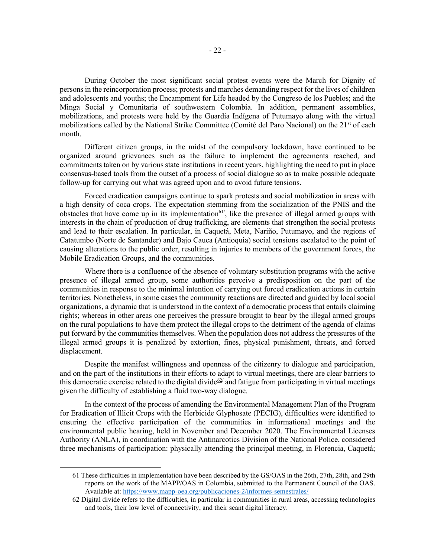During October the most significant social protest events were the March for Dignity of persons in the reincorporation process; protests and marches demanding respect for the lives of children and adolescents and youths; the Encampment for Life headed by the Congreso de los Pueblos; and the Minga Social y Comunitaria of southwestern Colombia. In addition, permanent assemblies, mobilizations, and protests were held by the Guardia Indígena of Putumayo along with the virtual mobilizations called by the National Strike Committee (Comité del Paro Nacional) on the 21<sup>st</sup> of each month.

Different citizen groups, in the midst of the compulsory lockdown, have continued to be organized around grievances such as the failure to implement the agreements reached, and commitments taken on by various state institutions in recent years, highlighting the need to put in place consensus-based tools from the outset of a process of social dialogue so as to make possible adequate follow-up for carrying out what was agreed upon and to avoid future tensions.

Forced eradication campaigns continue to spark protests and social mobilization in areas with a high density of coca crops. The expectation stemming from the socialization of the PNIS and the obstacles that have come up in its implementation<sup>61</sup>, like the presence of illegal armed groups with interests in the chain of production of drug trafficking, are elements that strengthen the social protests and lead to their escalation. In particular, in Caquetá, Meta, Nariño, Putumayo, and the regions of Catatumbo (Norte de Santander) and Bajo Cauca (Antioquia) social tensions escalated to the point of causing alterations to the public order, resulting in injuries to members of the government forces, the Mobile Eradication Groups, and the communities.

Where there is a confluence of the absence of voluntary substitution programs with the active presence of illegal armed group, some authorities perceive a predisposition on the part of the communities in response to the minimal intention of carrying out forced eradication actions in certain territories. Nonetheless, in some cases the community reactions are directed and guided by local social organizations, a dynamic that is understood in the context of a democratic process that entails claiming rights; whereas in other areas one perceives the pressure brought to bear by the illegal armed groups on the rural populations to have them protect the illegal crops to the detriment of the agenda of claims put forward by the communities themselves. When the population does not address the pressures of the illegal armed groups it is penalized by extortion, fines, physical punishment, threats, and forced displacement.

Despite the manifest willingness and openness of the citizenry to dialogue and participation, and on the part of the institutions in their efforts to adapt to virtual meetings, there are clear barriers to this democratic exercise related to the digital divide<sup>62/</sup> and fatigue from participating in virtual meetings given the difficulty of establishing a fluid two-way dialogue.

In the context of the process of amending the Environmental Management Plan of the Program for Eradication of Illicit Crops with the Herbicide Glyphosate (PECIG), difficulties were identified to ensuring the effective participation of the communities in informational meetings and the environmental public hearing, held in November and December 2020. The Environmental Licenses Authority (ANLA), in coordination with the Antinarcotics Division of the National Police, considered three mechanisms of participation: physically attending the principal meeting, in Florencia, Caquetá;

<sup>61</sup> These difficulties in implementation have been described by the GS/OAS in the 26th, 27th, 28th, and 29th reports on the work of the MAPP/OAS in Colombia, submitted to the Permanent Council of the OAS. Available at: https://www.mapp-oea.org/publicaciones-2/informes-semestrales/

<sup>62</sup> Digital divide refers to the difficulties, in particular in communities in rural areas, accessing technologies and tools, their low level of connectivity, and their scant digital literacy.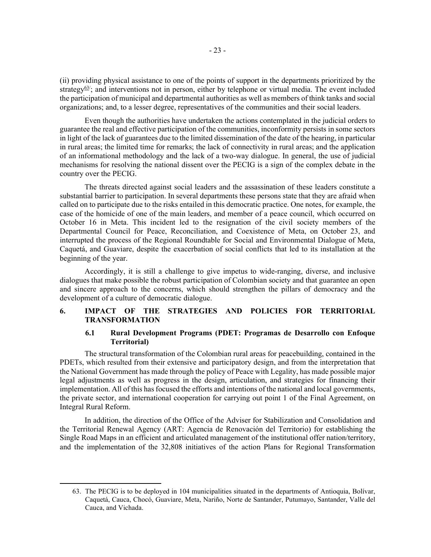(ii) providing physical assistance to one of the points of support in the departments prioritized by the strategy<sup>63/</sup>; and interventions not in person, either by telephone or virtual media. The event included the participation of municipal and departmental authorities as well as members of think tanks and social organizations; and, to a lesser degree, representatives of the communities and their social leaders.

Even though the authorities have undertaken the actions contemplated in the judicial orders to guarantee the real and effective participation of the communities, inconformity persists in some sectors in light of the lack of guarantees due to the limited dissemination of the date of the hearing, in particular in rural areas; the limited time for remarks; the lack of connectivity in rural areas; and the application of an informational methodology and the lack of a two-way dialogue. In general, the use of judicial mechanisms for resolving the national dissent over the PECIG is a sign of the complex debate in the country over the PECIG.

The threats directed against social leaders and the assassination of these leaders constitute a substantial barrier to participation. In several departments these persons state that they are afraid when called on to participate due to the risks entailed in this democratic practice. One notes, for example, the case of the homicide of one of the main leaders, and member of a peace council, which occurred on October 16 in Meta. This incident led to the resignation of the civil society members of the Departmental Council for Peace, Reconciliation, and Coexistence of Meta, on October 23, and interrupted the process of the Regional Roundtable for Social and Environmental Dialogue of Meta, Caquetá, and Guaviare, despite the exacerbation of social conflicts that led to its installation at the beginning of the year.

Accordingly, it is still a challenge to give impetus to wide-ranging, diverse, and inclusive dialogues that make possible the robust participation of Colombian society and that guarantee an open and sincere approach to the concerns, which should strengthen the pillars of democracy and the development of a culture of democratic dialogue.

# 6. IMPACT OF THE STRATEGIES AND POLICIES FOR TERRITORIAL TRANSFORMATION

# 6.1 Rural Development Programs (PDET: Programas de Desarrollo con Enfoque Territorial)

The structural transformation of the Colombian rural areas for peacebuilding, contained in the PDETs, which resulted from their extensive and participatory design, and from the interpretation that the National Government has made through the policy of Peace with Legality, has made possible major legal adjustments as well as progress in the design, articulation, and strategies for financing their implementation. All of this has focused the efforts and intentions of the national and local governments, the private sector, and international cooperation for carrying out point 1 of the Final Agreement, on Integral Rural Reform.

In addition, the direction of the Office of the Adviser for Stabilization and Consolidation and the Territorial Renewal Agency (ART: Agencia de Renovación del Territorio) for establishing the Single Road Maps in an efficient and articulated management of the institutional offer nation/territory, and the implementation of the 32,808 initiatives of the action Plans for Regional Transformation

<sup>63.</sup> The PECIG is to be deployed in 104 municipalities situated in the departments of Antioquia, Bolívar, Caquetá, Cauca, Chocó, Guaviare, Meta, Nariño, Norte de Santander, Putumayo, Santander, Valle del Cauca, and Vichada.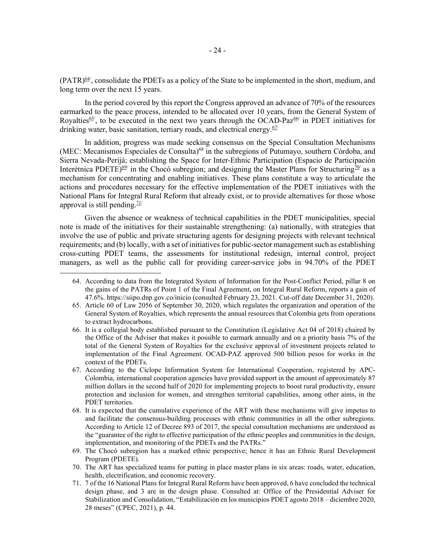(PATR)64/, consolidate the PDETs as a policy of the State to be implemented in the short, medium, and long term over the next 15 years.

In the period covered by this report the Congress approved an advance of 70% of the resources earmarked to the peace process, intended to be allocated over 10 years, from the General System of Royalties<sup>65/</sup>, to be executed in the next two years through the OCAD-Paz $^{66/}$  in PDET initiatives for drinking water, basic sanitation, tertiary roads, and electrical energy. $67/$ 

In addition, progress was made seeking consensus on the Special Consultation Mechanisms (MEC: Mecanismos Especiales de Consulta)<sup>68</sup> in the subregions of Putumayo, southern Córdoba, and Sierra Nevada-Perijá; establishing the Space for Inter-Ethnic Participation (Espacio de Participación Interétnica PDETE)<sup>69/</sup> in the Chocó subregion; and designing the Master Plans for Structuring<sup>70/</sup> as a mechanism for concentrating and enabling initiatives. These plans constitute a way to articulate the actions and procedures necessary for the effective implementation of the PDET initiatives with the National Plans for Integral Rural Reform that already exist, or to provide alternatives for those whose approval is still pending. $71/$ 

Given the absence or weakness of technical capabilities in the PDET municipalities, special note is made of the initiatives for their sustainable strengthening: (a) nationally, with strategies that involve the use of public and private structuring agents for designing projects with relevant technical requirements; and (b) locally, with a set of initiatives for public-sector management such as establishing cross-cutting PDET teams, the assessments for institutional redesign, internal control, project managers, as well as the public call for providing career-service jobs in 94.70% of the PDET

- 70. The ART has specialized teams for putting in place master plans in six areas: roads, water, education, health, electrification, and economic recovery.
- 71. 7 of the 16 National Plans for Integral Rural Reform have been approved, 6 have concluded the technical design phase, and 3 are in the design phase. Consulted at: Office of the Presidential Adviser for Stabilization and Consolidation, "Estabilización en los municipios PDET agosto 2018 – diciembre 2020, 28 meses" (CPEC, 2021), p. 44.

<sup>64.</sup> According to data from the Integrated System of Information for the Post-Conflict Period, pillar 8 on the gains of the PATRs of Point 1 of the Final Agreement, on Integral Rural Reform, reports a gain of 47.6%. https://siipo.dnp.gov.co/inicio (consulted February 23, 2021. Cut-off date December 31, 2020).

<sup>65.</sup> Article 60 of Law 2056 of September 30, 2020, which regulates the organization and operation of the General System of Royalties, which represents the annual resources that Colombia gets from operations to extract hydrocarbons.

<sup>66.</sup> It is a collegial body established pursuant to the Constitution (Legislative Act 04 of 2018) chaired by the Office of the Adviser that makes it possible to earmark annually and on a priority basis 7% of the total of the General System of Royalties for the exclusive approval of investment projects related to implementation of the Final Agreement. OCAD-PAZ approved 500 billion pesos for works in the context of the PDETs.

<sup>67.</sup> According to the Cíclope Information System for International Cooperation, registered by APC-Colombia, international cooperation agencies have provided support in the amount of approximately 87 million dollars in the second half of 2020 for implementing projects to boost rural productivity, ensure protection and inclusion for women, and strengthen territorial capabilities, among other aims, in the PDET territories.

<sup>68.</sup> It is expected that the cumulative experience of the ART with these mechanisms will give impetus to and facilitate the consensus-building processes with ethnic communities in all the other subregions. According to Article 12 of Decree 893 of 2017, the special consultation mechanisms are understood as the "guarantee of the right to effective participation of the ethnic peoples and communities in the design, implementation, and monitoring of the PDETs and the PATRs."

<sup>69.</sup> The Chocó subregion has a marked ethnic perspective; hence it has an Ethnic Rural Development Program (PDETE).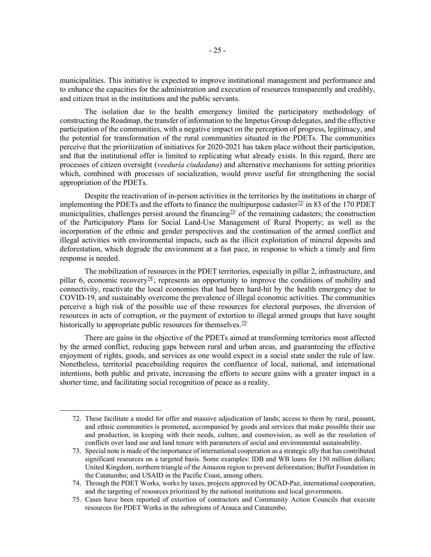municipalities. This initiative is expected to improve institutional management and performance and to enhance the capacities for the administration and execution of resources transparently and credibly, and citizen trust in the institutions and the public servants.

The isolation due to the health emergency limited the participatory methodology of constructing the Roadmap, the transfer of information to the Impetus Group delegates, and the effective participation of the communities, with a negative impact on the perception of progress, legitimacy, and the potential for transformation of the rural communities situated in the PDETs. The communities perceive that the prioritization of initiatives for 2020-2021 has taken place without their participation, and that the institutional offer is limited to replicating what already exists. In this regard, there are processes of citizen oversight (veeduría ciudadana) and alternative mechanisms for setting priorities which, combined with processes of socialization, would prove useful for strengthening the social appropriation of the PDETs.

Despite the reactivation of in-person activities in the territories by the institutions in charge of implementing the PDETs and the efforts to finance the multipurpose cadaster $72$  in 83 of the 170 PDET municipalities, challenges persist around the financing<sup>73/</sup> of the remaining cadasters; the construction of the Participatory Plans for Social Land-Use Management of Rural Property; as well as the incorporation of the ethnic and gender perspectives and the continuation of the armed conflict and illegal activities with environmental impacts, such as the illicit exploitation of mineral deposits and deforestation, which degrade the environment at a fast pace, in response to which a timely and firm response is needed.

The mobilization of resources in the PDET territories, especially in pillar 2, infrastructure, and pillar 6, economic recovery<sup> $\frac{74}{7}$ </sup>, represents an opportunity to improve the conditions of mobility and connectivity, reactivate the local economies that had been hard-hit by the health emergency due to COVID-19, and sustainably overcome the prevalence of illegal economic activities. The communities perceive a high risk of the possible use of these resources for electoral purposes, the diversion of resources in acts of corruption, or the payment of extortion to illegal armed groups that have sought historically to appropriate public resources for themselves. $\frac{75}{ }$ 

There are gains in the objective of the PDETs aimed at transforming territories most affected by the armed conflict, reducing gaps between rural and urban areas, and guaranteeing the effective enjoyment of rights, goods, and services as one would expect in a social state under the rule of law. Nonetheless, territorial peacebuilding requires the confluence of local, national, and international intentions, both public and private, increasing the efforts to secure gains with a greater impact in a shorter time, and facilitating social recognition of peace as a reality.

<sup>72.</sup> These facilitate a model for offer and massive adjudication of lands; access to them by rural, peasant, and ethnic communities is promoted, accompanied by goods and services that make possible their use and production, in keeping with their needs, culture, and cosmovision, as well as the resolution of conflicts over land use and land tenure with parameters of social and environmental sustainability.

<sup>73.</sup> Special note is made of the importance of international cooperation as a strategic ally that has contributed significant resources on a targeted basis. Some examples: IDB and WB loans for 150 million dollars; United Kingdom, northern triangle of the Amazon region to prevent deforestation; Buffet Foundation in the Catatumbo; and USAID in the Pacific Coast, among others.

<sup>74.</sup> Through the PDET Works, works by taxes, projects approved by OCAD-Paz, international cooperation, and the targeting of resources prioritized by the national institutions and local governments.

<sup>75.</sup> Cases have been reported of extortion of contractors and Community Action Councils that execute resources for PDET Works in the subregions of Arauca and Catatumbo.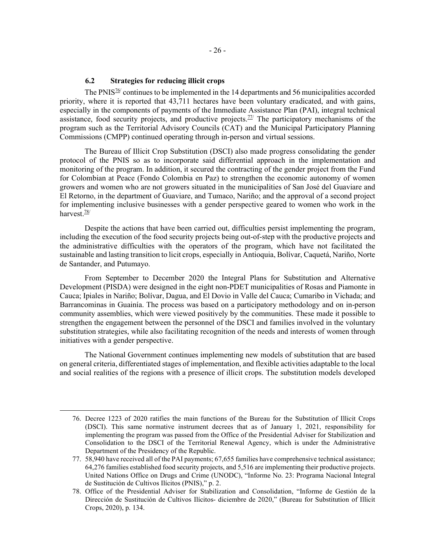# 6.2 Strategies for reducing illicit crops

The PNIS<sup> $76$ </sup> continues to be implemented in the 14 departments and 56 municipalities accorded priority, where it is reported that 43,711 hectares have been voluntary eradicated, and with gains, especially in the components of payments of the Immediate Assistance Plan (PAI), integral technical assistance, food security projects, and productive projects.<sup> $77/$ </sup> The participatory mechanisms of the program such as the Territorial Advisory Councils (CAT) and the Municipal Participatory Planning Commissions (CMPP) continued operating through in-person and virtual sessions.

The Bureau of Illicit Crop Substitution (DSCI) also made progress consolidating the gender protocol of the PNIS so as to incorporate said differential approach in the implementation and monitoring of the program. In addition, it secured the contracting of the gender project from the Fund for Colombian at Peace (Fondo Colombia en Paz) to strengthen the economic autonomy of women growers and women who are not growers situated in the municipalities of San José del Guaviare and El Retorno, in the department of Guaviare, and Tumaco, Nariño; and the approval of a second project for implementing inclusive businesses with a gender perspective geared to women who work in the harvest. $\frac{78}{1}$ 

Despite the actions that have been carried out, difficulties persist implementing the program, including the execution of the food security projects being out-of-step with the productive projects and the administrative difficulties with the operators of the program, which have not facilitated the sustainable and lasting transition to licit crops, especially in Antioquia, Bolívar, Caquetá, Nariño, Norte de Santander, and Putumayo.

From September to December 2020 the Integral Plans for Substitution and Alternative Development (PISDA) were designed in the eight non-PDET municipalities of Rosas and Piamonte in Cauca; Ipiales in Nariño; Bolívar, Dagua, and El Dovio in Valle del Cauca; Cumaribo in Vichada; and Barrancominas in Guainía. The process was based on a participatory methodology and on in-person community assemblies, which were viewed positively by the communities. These made it possible to strengthen the engagement between the personnel of the DSCI and families involved in the voluntary substitution strategies, while also facilitating recognition of the needs and interests of women through initiatives with a gender perspective.

The National Government continues implementing new models of substitution that are based on general criteria, differentiated stages of implementation, and flexible activities adaptable to the local and social realities of the regions with a presence of illicit crops. The substitution models developed

<sup>76.</sup> Decree 1223 of 2020 ratifies the main functions of the Bureau for the Substitution of Illicit Crops (DSCI). This same normative instrument decrees that as of January 1, 2021, responsibility for implementing the program was passed from the Office of the Presidential Adviser for Stabilization and Consolidation to the DSCI of the Territorial Renewal Agency, which is under the Administrative Department of the Presidency of the Republic.

<sup>77. 58,940</sup> have received all of the PAI payments; 67,655 families have comprehensive technical assistance; 64,276 families established food security projects, and 5,516 are implementing their productive projects. United Nations Office on Drugs and Crime (UNODC), "Informe No. 23: Programa Nacional Integral de Sustitución de Cultivos Ilícitos (PNIS)," p. 2.

<sup>78.</sup> Office of the Presidential Adviser for Stabilization and Consolidation, "Informe de Gestión de la Dirección de Sustitución de Cultivos Ilícitos- diciembre de 2020," (Bureau for Substitution of Illicit Crops, 2020), p. 134.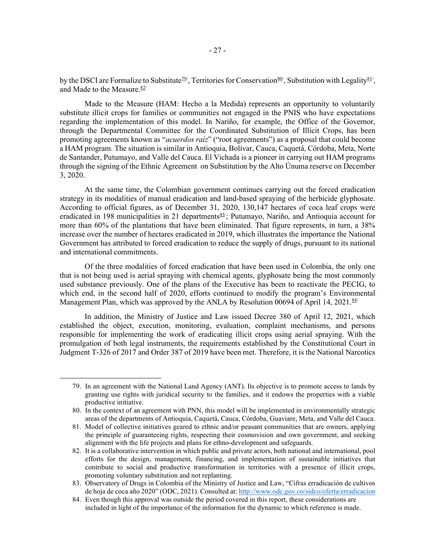by the DSCI are Formalize to Substitute<sup>79/</sup>, Territories for Conservation<sup>80/</sup>, Substitution with Legality<sup>81/</sup>, and Made to the Measure.<sup>82/</sup>

Made to the Measure (HAM: Hecho a la Medida) represents an opportunity to voluntarily substitute illicit crops for families or communities not engaged in the PNIS who have expectations regarding the implementation of this model. In Nariño, for example, the Office of the Governor, through the Departmental Committee for the Coordinated Substitution of Illicit Crops, has been promoting agreements known as "*acuerdos raiz*" ("root agreements") as a proposal that could become a HAM program. The situation is similar in Antioquia, Bolívar, Cauca, Caquetá, Córdoba, Meta, Norte de Santander, Putumayo, and Valle del Cauca. El Vichada is a pioneer in carrying out HAM programs through the signing of the Ethnic Agreement on Substitution by the Alto Únuma reserve on December 3, 2020.

At the same time, the Colombian government continues carrying out the forced eradication strategy in its modalities of manual eradication and land-based spraying of the herbicide glyphosate. According to official figures, as of December 31, 2020, 130,147 hectares of coca leaf crops were eradicated in 198 municipalities in 21 departments<sup>83/</sup>; Putumayo, Nariño, and Antioquia account for more than 60% of the plantations that have been eliminated. That figure represents, in turn, a 38% increase over the number of hectares eradicated in 2019, which illustrates the importance the National Government has attributed to forced eradication to reduce the supply of drugs, pursuant to its national and international commitments.

Of the three modalities of forced eradication that have been used in Colombia, the only one that is not being used is aerial spraying with chemical agents, glyphosate being the most commonly used substance previously. One of the plans of the Executive has been to reactivate the PECIG, to which end, in the second half of 2020, efforts continued to modify the program's Environmental Management Plan, which was approved by the ANLA by Resolution 00694 of April 14, 2021.<sup>84/</sup>

In addition, the Ministry of Justice and Law issued Decree 380 of April 12, 2021, which established the object, execution, monitoring, evaluation, complaint mechanisms, and persons responsible for implementing the work of eradicating illicit crops using aerial spraying. With the promulgation of both legal instruments, the requirements established by the Constitutional Court in Judgment T-326 of 2017 and Order 387 of 2019 have been met. Therefore, it is the National Narcotics

<sup>79.</sup> In an agreement with the National Land Agency (ANT). Its objective is to promote access to lands by granting use rights with juridical security to the families, and it endows the properties with a viable productive initiative.

<sup>80.</sup> In the context of an agreement with PNN, this model will be implemented in environmentally strategic areas of the departments of Antioquia, Caquetá, Cauca, Córdoba, Guaviare, Meta, and Valle del Cauca.

<sup>81.</sup> Model of collective initiatives geared to ethnic and/or peasant communities that are owners, applying the principle of guaranteeing rights, respecting their cosmovision and own government, and seeking alignment with the life projects and plans for ethno-development and safeguards.

<sup>82.</sup> It is a collaborative intervention in which public and private actors, both national and international, pool efforts for the design, management, financing, and implementation of sustainable initiatives that contribute to social and productive transformation in territories with a presence of illicit crops, promoting voluntary substitution and not replanting.

<sup>83.</sup> Observatory of Drugs in Colombia of the Ministry of Justice and Law, "Cifras erradicación de cultivos de hoja de coca año 2020" (ODC, 2021). Consulted at: http://www.odc.gov.co/sidco/oferta/erradicacion

<sup>84.</sup> Even though this approval was outside the period covered in this report, these considerations are included in light of the importance of the information for the dynamic to which reference is made.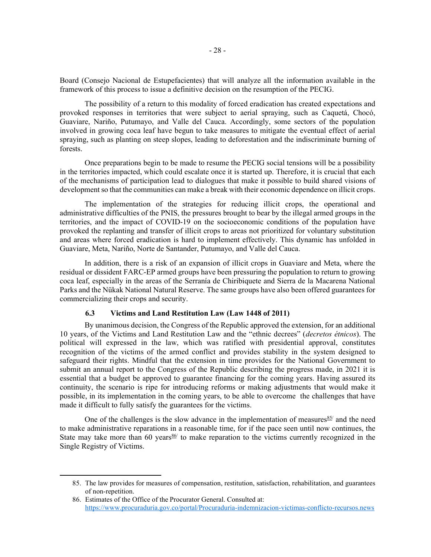Board (Consejo Nacional de Estupefacientes) that will analyze all the information available in the framework of this process to issue a definitive decision on the resumption of the PECIG.

The possibility of a return to this modality of forced eradication has created expectations and provoked responses in territories that were subject to aerial spraying, such as Caquetá, Chocó, Guaviare, Nariño, Putumayo, and Valle del Cauca. Accordingly, some sectors of the population involved in growing coca leaf have begun to take measures to mitigate the eventual effect of aerial spraying, such as planting on steep slopes, leading to deforestation and the indiscriminate burning of forests.

Once preparations begin to be made to resume the PECIG social tensions will be a possibility in the territories impacted, which could escalate once it is started up. Therefore, it is crucial that each of the mechanisms of participation lead to dialogues that make it possible to build shared visions of development so that the communities can make a break with their economic dependence on illicit crops.

The implementation of the strategies for reducing illicit crops, the operational and administrative difficulties of the PNIS, the pressures brought to bear by the illegal armed groups in the territories, and the impact of COVID-19 on the socioeconomic conditions of the population have provoked the replanting and transfer of illicit crops to areas not prioritized for voluntary substitution and areas where forced eradication is hard to implement effectively. This dynamic has unfolded in Guaviare, Meta, Nariño, Norte de Santander, Putumayo, and Valle del Cauca.

In addition, there is a risk of an expansion of illicit crops in Guaviare and Meta, where the residual or dissident FARC-EP armed groups have been pressuring the population to return to growing coca leaf, especially in the areas of the Serranía de Chiribiquete and Sierra de la Macarena National Parks and the Nükak National Natural Reserve. The same groups have also been offered guarantees for commercializing their crops and security.

#### 6.3 Victims and Land Restitution Law (Law 1448 of 2011)

By unanimous decision, the Congress of the Republic approved the extension, for an additional 10 years, of the Victims and Land Restitution Law and the "ethnic decrees" (decretos étnicos). The political will expressed in the law, which was ratified with presidential approval, constitutes recognition of the victims of the armed conflict and provides stability in the system designed to safeguard their rights. Mindful that the extension in time provides for the National Government to submit an annual report to the Congress of the Republic describing the progress made, in 2021 it is essential that a budget be approved to guarantee financing for the coming years. Having assured its continuity, the scenario is ripe for introducing reforms or making adjustments that would make it possible, in its implementation in the coming years, to be able to overcome the challenges that have made it difficult to fully satisfy the guarantees for the victims.

One of the challenges is the slow advance in the implementation of measures  $85/$  and the need to make administrative reparations in a reasonable time, for if the pace seen until now continues, the State may take more than 60 years  $86/$  to make reparation to the victims currently recognized in the Single Registry of Victims.

<sup>85.</sup> The law provides for measures of compensation, restitution, satisfaction, rehabilitation, and guarantees of non-repetition.

<sup>86.</sup> Estimates of the Office of the Procurator General. Consulted at: https://www.procuraduria.gov.co/portal/Procuraduria-indemnizacion-victimas-conflicto-recursos.news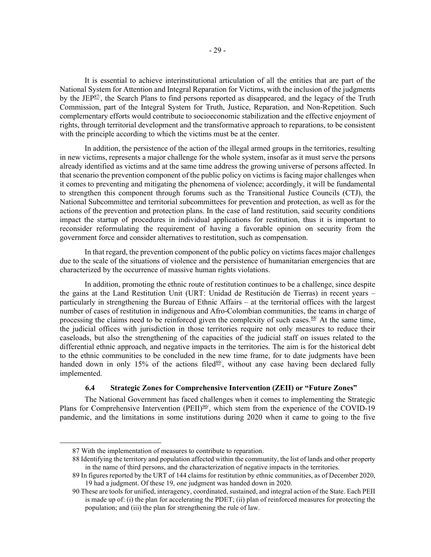It is essential to achieve interinstitutional articulation of all the entities that are part of the National System for Attention and Integral Reparation for Victims, with the inclusion of the judgments by the JEP $\frac{87}{7}$ , the Search Plans to find persons reported as disappeared, and the legacy of the Truth Commission, part of the Integral System for Truth, Justice, Reparation, and Non-Repetition. Such complementary efforts would contribute to socioeconomic stabilization and the effective enjoyment of rights, through territorial development and the transformative approach to reparations, to be consistent with the principle according to which the victims must be at the center.

In addition, the persistence of the action of the illegal armed groups in the territories, resulting in new victims, represents a major challenge for the whole system, insofar as it must serve the persons already identified as victims and at the same time address the growing universe of persons affected. In that scenario the prevention component of the public policy on victims is facing major challenges when it comes to preventing and mitigating the phenomena of violence; accordingly, it will be fundamental to strengthen this component through forums such as the Transitional Justice Councils (CTJ), the National Subcommittee and territorial subcommittees for prevention and protection, as well as for the actions of the prevention and protection plans. In the case of land restitution, said security conditions impact the startup of procedures in individual applications for restitution, thus it is important to reconsider reformulating the requirement of having a favorable opinion on security from the government force and consider alternatives to restitution, such as compensation.

In that regard, the prevention component of the public policy on victims faces major challenges due to the scale of the situations of violence and the persistence of humanitarian emergencies that are characterized by the occurrence of massive human rights violations.

In addition, promoting the ethnic route of restitution continues to be a challenge, since despite the gains at the Land Restitution Unit (URT: Unidad de Restitución de Tierras) in recent years – particularly in strengthening the Bureau of Ethnic Affairs – at the territorial offices with the largest number of cases of restitution in indigenous and Afro-Colombian communities, the teams in charge of processing the claims need to be reinforced given the complexity of such cases. $88/$  At the same time, the judicial offices with jurisdiction in those territories require not only measures to reduce their caseloads, but also the strengthening of the capacities of the judicial staff on issues related to the differential ethnic approach, and negative impacts in the territories. The aim is for the historical debt to the ethnic communities to be concluded in the new time frame, for to date judgments have been handed down in only 15% of the actions filed $89/$ , without any case having been declared fully implemented.

## 6.4 Strategic Zones for Comprehensive Intervention (ZEII) or "Future Zones"

The National Government has faced challenges when it comes to implementing the Strategic Plans for Comprehensive Intervention (PEII)<sup>90/</sup>, which stem from the experience of the COVID-19 pandemic, and the limitations in some institutions during 2020 when it came to going to the five

<sup>87</sup> With the implementation of measures to contribute to reparation.

<sup>88</sup> Identifying the territory and population affected within the community, the list of lands and other property in the name of third persons, and the characterization of negative impacts in the territories.

<sup>89</sup> In figures reported by the URT of 144 claims for restitution by ethnic communities, as of December 2020, 19 had a judgment. Of these 19, one judgment was handed down in 2020.

<sup>90</sup> These are tools for unified, interagency, coordinated, sustained, and integral action of the State. Each PEII is made up of: (i) the plan for accelerating the PDET; (ii) plan of reinforced measures for protecting the population; and (iii) the plan for strengthening the rule of law.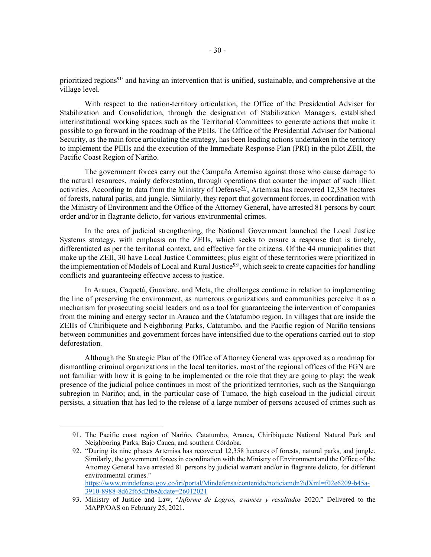prioritized regions<sup>91/</sup> and having an intervention that is unified, sustainable, and comprehensive at the village level.

With respect to the nation-territory articulation, the Office of the Presidential Adviser for Stabilization and Consolidation, through the designation of Stabilization Managers, established interinstitutional working spaces such as the Territorial Committees to generate actions that make it possible to go forward in the roadmap of the PEIIs. The Office of the Presidential Adviser for National Security, as the main force articulating the strategy, has been leading actions undertaken in the territory to implement the PEIIs and the execution of the Immediate Response Plan (PRI) in the pilot ZEII, the Pacific Coast Region of Nariño.

The government forces carry out the Campaña Artemisa against those who cause damage to the natural resources, mainly deforestation, through operations that counter the impact of such illicit activities. According to data from the Ministry of Defense<sup>92/</sup>, Artemisa has recovered 12,358 hectares of forests, natural parks, and jungle. Similarly, they report that government forces, in coordination with the Ministry of Environment and the Office of the Attorney General, have arrested 81 persons by court order and/or in flagrante delicto, for various environmental crimes.

In the area of judicial strengthening, the National Government launched the Local Justice Systems strategy, with emphasis on the ZEIIs, which seeks to ensure a response that is timely, differentiated as per the territorial context, and effective for the citizens. Of the 44 municipalities that make up the ZEII, 30 have Local Justice Committees; plus eight of these territories were prioritized in the implementation of Models of Local and Rural Justice<sup>93/</sup>, which seek to create capacities for handling conflicts and guaranteeing effective access to justice.

In Arauca, Caquetá, Guaviare, and Meta, the challenges continue in relation to implementing the line of preserving the environment, as numerous organizations and communities perceive it as a mechanism for prosecuting social leaders and as a tool for guaranteeing the intervention of companies from the mining and energy sector in Arauca and the Catatumbo region. In villages that are inside the ZEIIs of Chiribiquete and Neighboring Parks, Catatumbo, and the Pacific region of Nariño tensions between communities and government forces have intensified due to the operations carried out to stop deforestation.

Although the Strategic Plan of the Office of Attorney General was approved as a roadmap for dismantling criminal organizations in the local territories, most of the regional offices of the FGN are not familiar with how it is going to be implemented or the role that they are going to play; the weak presence of the judicial police continues in most of the prioritized territories, such as the Sanquianga subregion in Nariño; and, in the particular case of Tumaco, the high caseload in the judicial circuit persists, a situation that has led to the release of a large number of persons accused of crimes such as

https://www.mindefensa.gov.co/irj/portal/Mindefensa/contenido/noticiamdn?idXml=f02e6209-b45a-3910-8988-8d62f65d2fb8&date=26012021

<sup>91.</sup> The Pacific coast region of Nariño, Catatumbo, Arauca, Chiribiquete National Natural Park and Neighboring Parks, Bajo Cauca, and southern Córdoba.

<sup>92. &</sup>quot;During its nine phases Artemisa has recovered 12,358 hectares of forests, natural parks, and jungle. Similarly, the government forces in coordination with the Ministry of Environment and the Office of the Attorney General have arrested 81 persons by judicial warrant and/or in flagrante delicto, for different environmental crimes."

<sup>93.</sup> Ministry of Justice and Law, "Informe de Logros, avances y resultados 2020." Delivered to the MAPP/OAS on February 25, 2021.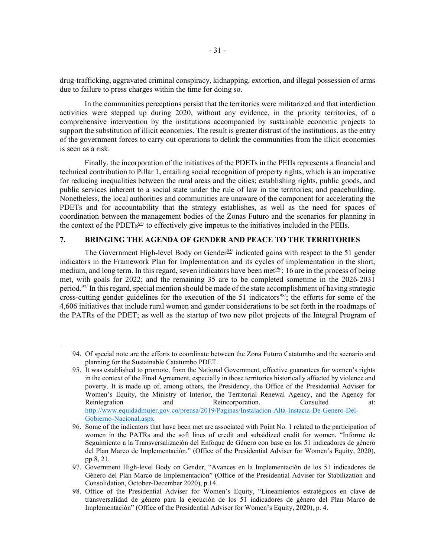drug-trafficking, aggravated criminal conspiracy, kidnapping, extortion, and illegal possession of arms due to failure to press charges within the time for doing so.

In the communities perceptions persist that the territories were militarized and that interdiction activities were stepped up during 2020, without any evidence, in the priority territories, of a comprehensive intervention by the institutions accompanied by sustainable economic projects to support the substitution of illicit economies. The result is greater distrust of the institutions, as the entry of the government forces to carry out operations to delink the communities from the illicit economies is seen as a risk.

Finally, the incorporation of the initiatives of the PDETs in the PEIIs represents a financial and technical contribution to Pillar 1, entailing social recognition of property rights, which is an imperative for reducing inequalities between the rural areas and the cities; establishing rights, public goods, and public services inherent to a social state under the rule of law in the territories; and peacebuilding. Nonetheless, the local authorities and communities are unaware of the component for accelerating the PDETs and for accountability that the strategy establishes, as well as the need for spaces of coordination between the management bodies of the Zonas Futuro and the scenarios for planning in the context of the PDETs $\frac{94}{1}$  to effectively give impetus to the initiatives included in the PEIIs.

## 7. BRINGING THE AGENDA OF GENDER AND PEACE TO THE TERRITORIES

The Government High-level Body on Gender<sup>95/</sup> indicated gains with respect to the 51 gender indicators in the Framework Plan for Implementation and its cycles of implementation in the short, medium, and long term. In this regard, seven indicators have been met $\frac{96}{5}$ ; 16 are in the process of being met, with goals for 2022; and the remaining 35 are to be completed sometime in the 2026-2031 period.<sup>97/</sup> In this regard, special mention should be made of the state accomplishment of having strategic cross-cutting gender guidelines for the execution of the 51 indicators $\frac{98}{7}$ ; the efforts for some of the 4,606 initiatives that include rural women and gender considerations to be set forth in the roadmaps of the PATRs of the PDET; as well as the startup of two new pilot projects of the Integral Program of

<sup>94.</sup> Of special note are the efforts to coordinate between the Zona Futuro Catatumbo and the scenario and planning for the Sustainable Catatumbo PDET.

<sup>95.</sup> It was established to promote, from the National Government, effective guarantees for women's rights in the context of the Final Agreement, especially in those territories historically affected by violence and poverty. It is made up of, among others, the Presidency, the Office of the Presidential Adviser for Women's Equity, the Ministry of Interior, the Territorial Renewal Agency, and the Agency for Reintegration and Reincorporation. Consulted at: http://www.equidadmujer.gov.co/prensa/2019/Paginas/Instalacion-Alta-Instacia-De-Genero-Del-Gobierno-Nacional.aspx

<sup>96.</sup> Some of the indicators that have been met are associated with Point No. 1 related to the participation of women in the PATRs and the soft lines of credit and subsidized credit for women. "Informe de Seguimiento a la Transversalización del Enfoque de Género con base en los 51 indicadores de género del Plan Marco de Implementación." (Office of the Presidential Adviser for Women's Equity, 2020), pp.8, 21.

<sup>97.</sup> Government High-level Body on Gender, "Avances en la Implementación de los 51 indicadores de Género del Plan Marco de Implementación" (Office of the Presidential Adviser for Stabilization and Consolidation, October-December 2020), p.14.

<sup>98.</sup> Office of the Presidential Adviser for Women's Equity, "Lineamientos estratégicos en clave de transversalidad de género para la ejecución de los 51 indicadores de género del Plan Marco de Implementación" (Office of the Presidential Adviser for Women's Equity, 2020), p. 4.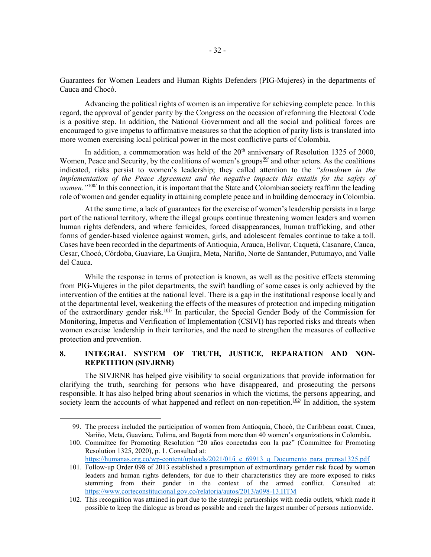Guarantees for Women Leaders and Human Rights Defenders (PIG-Mujeres) in the departments of Cauca and Chocó.

Advancing the political rights of women is an imperative for achieving complete peace. In this regard, the approval of gender parity by the Congress on the occasion of reforming the Electoral Code is a positive step. In addition, the National Government and all the social and political forces are encouraged to give impetus to affirmative measures so that the adoption of parity lists is translated into more women exercising local political power in the most conflictive parts of Colombia.

In addition, a commemoration was held of the  $20<sup>th</sup>$  anniversary of Resolution 1325 of 2000, Women, Peace and Security, by the coalitions of women's groups<sup>99/</sup> and other actors. As the coalitions indicated, risks persist to women's leadership; they called attention to the "slowdown in the implementation of the Peace Agreement and the negative impacts this entails for the safety of women. "<sup>100</sup> In this connection, it is important that the State and Colombian society reaffirm the leading role of women and gender equality in attaining complete peace and in building democracy in Colombia.

At the same time, a lack of guarantees for the exercise of women's leadership persists in a large part of the national territory, where the illegal groups continue threatening women leaders and women human rights defenders, and where femicides, forced disappearances, human trafficking, and other forms of gender-based violence against women, girls, and adolescent females continue to take a toll. Cases have been recorded in the departments of Antioquia, Arauca, Bolívar, Caquetá, Casanare, Cauca, Cesar, Chocó, Córdoba, Guaviare, La Guajira, Meta, Nariño, Norte de Santander, Putumayo, and Valle del Cauca.

While the response in terms of protection is known, as well as the positive effects stemming from PIG-Mujeres in the pilot departments, the swift handling of some cases is only achieved by the intervention of the entities at the national level. There is a gap in the institutional response locally and at the departmental level, weakening the effects of the measures of protection and impeding mitigation of the extraordinary gender risk.<sup>101</sup>/ In particular, the Special Gender Body of the Commission for Monitoring, Impetus and Verification of Implementation (CSIVI) has reported risks and threats when women exercise leadership in their territories, and the need to strengthen the measures of collective protection and prevention.

# 8. INTEGRAL SYSTEM OF TRUTH, JUSTICE, REPARATION AND NON-REPETITION (SIVJRNR)

The SIVJRNR has helped give visibility to social organizations that provide information for clarifying the truth, searching for persons who have disappeared, and prosecuting the persons responsible. It has also helped bring about scenarios in which the victims, the persons appearing, and society learn the accounts of what happened and reflect on non-repetition.<sup>102/</sup> In addition, the system

<sup>99.</sup> The process included the participation of women from Antioquia, Chocó, the Caribbean coast, Cauca, Nariño, Meta, Guaviare, Tolima, and Bogotá from more than 40 women's organizations in Colombia.

<sup>100.</sup> Committee for Promoting Resolution "20 años conectadas con la paz" (Committee for Promoting Resolution 1325, 2020), p. 1. Consulted at: https://humanas.org.co/wp-content/uploads/2021/01/i\_e\_69913\_q\_Documento\_para\_prensa1325.pdf

<sup>101.</sup> Follow-up Order 098 of 2013 established a presumption of extraordinary gender risk faced by women leaders and human rights defenders, for due to their characteristics they are more exposed to risks stemming from their gender in the context of the armed conflict. Consulted at: https://www.corteconstitucional.gov.co/relatoria/autos/2013/a098-13.HTM

<sup>102.</sup> This recognition was attained in part due to the strategic partnerships with media outlets, which made it possible to keep the dialogue as broad as possible and reach the largest number of persons nationwide.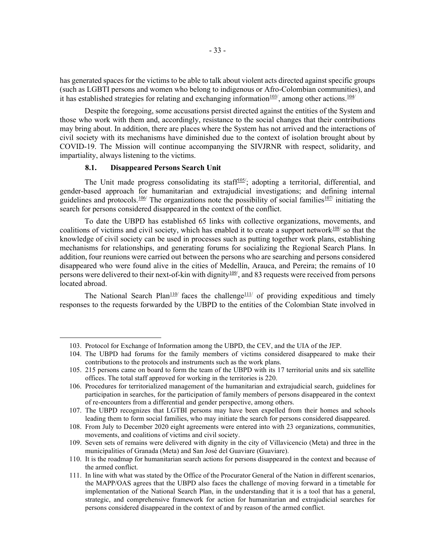has generated spaces for the victims to be able to talk about violent acts directed against specific groups (such as LGBTI persons and women who belong to indigenous or Afro-Colombian communities), and it has established strategies for relating and exchanging information $\frac{103}{3}$ , among other actions.<sup>104/</sup>

Despite the foregoing, some accusations persist directed against the entities of the System and those who work with them and, accordingly, resistance to the social changes that their contributions may bring about. In addition, there are places where the System has not arrived and the interactions of civil society with its mechanisms have diminished due to the context of isolation brought about by COVID-19. The Mission will continue accompanying the SIVJRNR with respect, solidarity, and impartiality, always listening to the victims.

#### 8.1. Disappeared Persons Search Unit

The Unit made progress consolidating its staff<sup>105/</sup>; adopting a territorial, differential, and gender-based approach for humanitarian and extrajudicial investigations; and defining internal guidelines and protocols.<sup>106/</sup> The organizations note the possibility of social families<sup>107/</sup> initiating the search for persons considered disappeared in the context of the conflict.

To date the UBPD has established 65 links with collective organizations, movements, and coalitions of victims and civil society, which has enabled it to create a support network $108$  so that the knowledge of civil society can be used in processes such as putting together work plans, establishing mechanisms for relationships, and generating forums for socializing the Regional Search Plans. In addition, four reunions were carried out between the persons who are searching and persons considered disappeared who were found alive in the cities of Medellín, Arauca, and Pereira; the remains of 10 persons were delivered to their next-of-kin with dignity<sup>109/</sup>, and 83 requests were received from persons located abroad.

The National Search Plan<sup>110</sup> faces the challenge<sup>111</sup> of providing expeditious and timely responses to the requests forwarded by the UBPD to the entities of the Colombian State involved in

<sup>103.</sup> Protocol for Exchange of Information among the UBPD, the CEV, and the UIA of the JEP.

<sup>104.</sup> The UBPD had forums for the family members of victims considered disappeared to make their contributions to the protocols and instruments such as the work plans.

<sup>105. 215</sup> persons came on board to form the team of the UBPD with its 17 territorial units and six satellite offices. The total staff approved for working in the territories is 220.

<sup>106.</sup> Procedures for territorialized management of the humanitarian and extrajudicial search, guidelines for participation in searches, for the participation of family members of persons disappeared in the context of re-encounters from a differential and gender perspective, among others.

<sup>107.</sup> The UBPD recognizes that LGTBI persons may have been expelled from their homes and schools leading them to form social families, who may initiate the search for persons considered disappeared.

<sup>108.</sup> From July to December 2020 eight agreements were entered into with 23 organizations, communities, movements, and coalitions of victims and civil society.

<sup>109.</sup> Seven sets of remains were delivered with dignity in the city of Villavicencio (Meta) and three in the municipalities of Granada (Meta) and San José del Guaviare (Guaviare).

<sup>110.</sup> It is the roadmap for humanitarian search actions for persons disappeared in the context and because of the armed conflict.

<sup>111.</sup> In line with what was stated by the Office of the Procurator General of the Nation in different scenarios, the MAPP/OAS agrees that the UBPD also faces the challenge of moving forward in a timetable for implementation of the National Search Plan, in the understanding that it is a tool that has a general, strategic, and comprehensive framework for action for humanitarian and extrajudicial searches for persons considered disappeared in the context of and by reason of the armed conflict.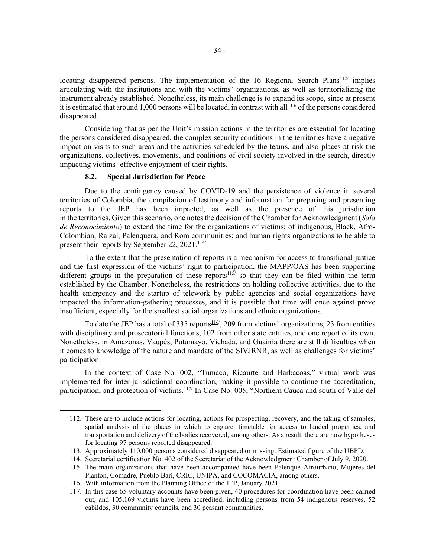locating disappeared persons. The implementation of the 16 Regional Search Plans $\frac{112}{ }$  implies articulating with the institutions and with the victims' organizations, as well as territorializing the instrument already established. Nonetheless, its main challenge is to expand its scope, since at present it is estimated that around 1,000 persons will be located, in contrast with all<sup>113/</sup> of the persons considered disappeared.

Considering that as per the Unit's mission actions in the territories are essential for locating the persons considered disappeared, the complex security conditions in the territories have a negative impact on visits to such areas and the activities scheduled by the teams, and also places at risk the organizations, collectives, movements, and coalitions of civil society involved in the search, directly impacting victims' effective enjoyment of their rights.

#### 8.2. Special Jurisdiction for Peace

Due to the contingency caused by COVID-19 and the persistence of violence in several territories of Colombia, the compilation of testimony and information for preparing and presenting reports to the JEP has been impacted, as well as the presence of this jurisdiction in the territories. Given this scenario, one notes the decision of the Chamber for Acknowledgment (Sala de Reconocimiento) to extend the time for the organizations of victims; of indigenous, Black, Afro-Colombian, Raizal, Palenquera, and Rom communities; and human rights organizations to be able to present their reports by September 22, 2021. $\frac{114}{1}$ .

To the extent that the presentation of reports is a mechanism for access to transitional justice and the first expression of the victims' right to participation, the MAPP/OAS has been supporting different groups in the preparation of these reports $\frac{115}{5}$  so that they can be filed within the term established by the Chamber. Nonetheless, the restrictions on holding collective activities, due to the health emergency and the startup of telework by public agencies and social organizations have impacted the information-gathering processes, and it is possible that time will once against prove insufficient, especially for the smallest social organizations and ethnic organizations.

To date the JEP has a total of 335 reports $116/$ , 209 from victims' organizations, 23 from entities with disciplinary and prosecutorial functions, 102 from other state entities, and one report of its own. Nonetheless, in Amazonas, Vaupés, Putumayo, Vichada, and Guainía there are still difficulties when it comes to knowledge of the nature and mandate of the SIVJRNR, as well as challenges for victims' participation.

In the context of Case No. 002, "Tumaco, Ricaurte and Barbacoas," virtual work was implemented for inter-jurisdictional coordination, making it possible to continue the accreditation, participation, and protection of victims.<sup>117/</sup> In Case No. 005, "Northern Cauca and south of Valle del

<sup>112.</sup> These are to include actions for locating, actions for prospecting, recovery, and the taking of samples, spatial analysis of the places in which to engage, timetable for access to landed properties, and transportation and delivery of the bodies recovered, among others. As a result, there are now hypotheses for locating 97 persons reported disappeared.

<sup>113.</sup> Approximately 110,000 persons considered disappeared or missing. Estimated figure of the UBPD.

<sup>114.</sup> Secretarial certification No. 402 of the Secretariat of the Acknowledgment Chamber of July 9, 2020.

<sup>115.</sup> The main organizations that have been accompanied have been Palenque Afrourbano, Mujeres del Plantón, Comadre, Pueblo Barí, CRIC, UNIPA, and COCOMACIA, among others.

<sup>116.</sup> With information from the Planning Office of the JEP, January 2021.

<sup>117.</sup> In this case 65 voluntary accounts have been given, 40 procedures for coordination have been carried out, and 105,169 victims have been accredited, including persons from 54 indigenous reserves, 52 cabildos, 30 community councils, and 30 peasant communities.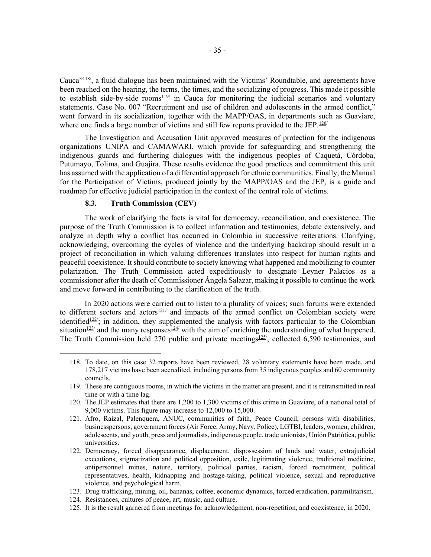Cauca"118/, a fluid dialogue has been maintained with the Victims' Roundtable, and agreements have been reached on the hearing, the terms, the times, and the socializing of progress. This made it possible to establish side-by-side rooms<sup>119</sup> in Cauca for monitoring the judicial scenarios and voluntary statements. Case No. 007 "Recruitment and use of children and adolescents in the armed conflict," went forward in its socialization, together with the MAPP/OAS, in departments such as Guaviare, where one finds a large number of victims and still few reports provided to the JEP.<sup>120/</sup>

The Investigation and Accusation Unit approved measures of protection for the indigenous organizations UNIPA and CAMAWARI, which provide for safeguarding and strengthening the indigenous guards and furthering dialogues with the indigenous peoples of Caquetá, Córdoba, Putumayo, Tolima, and Guajira. These results evidence the good practices and commitment this unit has assumed with the application of a differential approach for ethnic communities. Finally, the Manual for the Participation of Victims, produced jointly by the MAPP/OAS and the JEP, is a guide and roadmap for effective judicial participation in the context of the central role of victims.

#### 8.3. Truth Commission (CEV)

The work of clarifying the facts is vital for democracy, reconciliation, and coexistence. The purpose of the Truth Commission is to collect information and testimonies, debate extensively, and analyze in depth why a conflict has occurred in Colombia in successive reiterations. Clarifying, acknowledging, overcoming the cycles of violence and the underlying backdrop should result in a project of reconciliation in which valuing differences translates into respect for human rights and peaceful coexistence. It should contribute to society knowing what happened and mobilizing to counter polarization. The Truth Commission acted expeditiously to designate Leyner Palacios as a commissioner after the death of Commissioner Ángela Salazar, making it possible to continue the work and move forward in contributing to the clarification of the truth.

In 2020 actions were carried out to listen to a plurality of voices; such forums were extended to different sectors and actors $121/$  and impacts of the armed conflict on Colombian society were identified<sup>122/</sup>; in addition, they supplemented the analysis with factors particular to the Colombian situation<sup>123/</sup> and the many responses<sup>124/</sup> with the aim of enriching the understanding of what happened. The Truth Commission held 270 public and private meetings $125/$ , collected 6,590 testimonies, and

125. It is the result garnered from meetings for acknowledgment, non-repetition, and coexistence, in 2020.

<sup>118.</sup> To date, on this case 32 reports have been reviewed, 28 voluntary statements have been made, and 178,217 victims have been accredited, including persons from 35 indigenous peoples and 60 community councils.

<sup>119.</sup> These are contiguous rooms, in which the victims in the matter are present, and it is retransmitted in real time or with a time lag.

<sup>120.</sup> The JEP estimates that there are 1,200 to 1,300 victims of this crime in Guaviare, of a national total of 9,000 victims. This figure may increase to 12,000 to 15,000.

<sup>121.</sup> Afro, Raizal, Palenquera, ANUC, communities of faith, Peace Council, persons with disabilities, businesspersons, government forces (Air Force, Army, Navy, Police), LGTBI, leaders, women, children, adolescents, and youth, press and journalists, indigenous people, trade unionists, Unión Patriótica, public universities.

<sup>122.</sup> Democracy, forced disappearance, displacement, dispossession of lands and water, extrajudicial executions, stigmatization and political opposition, exile, legitimating violence, traditional medicine, antipersonnel mines, nature, territory, political parties, racism, forced recruitment, political representatives, health, kidnapping and hostage-taking, political violence, sexual and reproductive violence, and psychological harm.

<sup>123.</sup> Drug-trafficking, mining, oil, bananas, coffee, economic dynamics, forced eradication, paramilitarism.

<sup>124.</sup> Resistances, cultures of peace, art, music, and culture.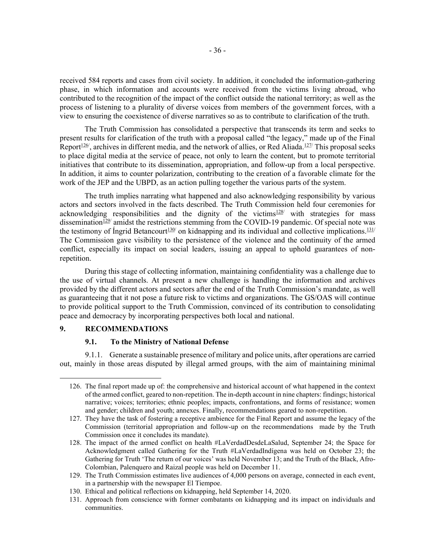received 584 reports and cases from civil society. In addition, it concluded the information-gathering phase, in which information and accounts were received from the victims living abroad, who contributed to the recognition of the impact of the conflict outside the national territory; as well as the process of listening to a plurality of diverse voices from members of the government forces, with a view to ensuring the coexistence of diverse narratives so as to contribute to clarification of the truth.

The Truth Commission has consolidated a perspective that transcends its term and seeks to present results for clarification of the truth with a proposal called "the legacy," made up of the Final Report<sup>126</sup>, archives in different media, and the network of allies, or Red Aliada.<sup>127/</sup> This proposal seeks to place digital media at the service of peace, not only to learn the content, but to promote territorial initiatives that contribute to its dissemination, appropriation, and follow-up from a local perspective. In addition, it aims to counter polarization, contributing to the creation of a favorable climate for the work of the JEP and the UBPD, as an action pulling together the various parts of the system.

The truth implies narrating what happened and also acknowledging responsibility by various actors and sectors involved in the facts described. The Truth Commission held four ceremonies for acknowledging responsibilities and the dignity of the victims<sup>128/</sup> with strategies for mass dissemination<sup>129</sup> amidst the restrictions stemming from the COVID-19 pandemic. Of special note was the testimony of Ingrid Betancourt<sup>130</sup> on kidnapping and its individual and collective implications.<sup>131/</sup> The Commission gave visibility to the persistence of the violence and the continuity of the armed conflict, especially its impact on social leaders, issuing an appeal to uphold guarantees of nonrepetition.

During this stage of collecting information, maintaining confidentiality was a challenge due to the use of virtual channels. At present a new challenge is handling the information and archives provided by the different actors and sectors after the end of the Truth Commission's mandate, as well as guaranteeing that it not pose a future risk to victims and organizations. The GS/OAS will continue to provide political support to the Truth Commission, convinced of its contribution to consolidating peace and democracy by incorporating perspectives both local and national.

### 9. RECOMMENDATIONS

#### 9.1. To the Ministry of National Defense

9.1.1. Generate a sustainable presence of military and police units, after operations are carried out, mainly in those areas disputed by illegal armed groups, with the aim of maintaining minimal

<sup>126.</sup> The final report made up of: the comprehensive and historical account of what happened in the context of the armed conflict, geared to non-repetition. The in-depth account in nine chapters: findings; historical narrative; voices; territories; ethnic peoples; impacts, confrontations, and forms of resistance; women and gender; children and youth; annexes. Finally, recommendations geared to non-repetition.

<sup>127.</sup> They have the task of fostering a receptive ambience for the Final Report and assume the legacy of the Commission (territorial appropriation and follow-up on the recommendations made by the Truth Commission once it concludes its mandate).

<sup>128.</sup> The impact of the armed conflict on health #LaVerdadDesdeLaSalud, September 24; the Space for Acknowledgment called Gathering for the Truth #LaVerdadIndígena was held on October 23; the Gathering for Truth 'The return of our voices' was held November 13; and the Truth of the Black, Afro-Colombian, Palenquero and Raizal people was held on December 11.

<sup>129.</sup> The Truth Commission estimates live audiences of 4,000 persons on average, connected in each event, in a partnership with the newspaper El Tiempoe.

<sup>130.</sup> Ethical and political reflections on kidnapping, held September 14, 2020.

<sup>131.</sup> Approach from conscience with former combatants on kidnapping and its impact on individuals and communities.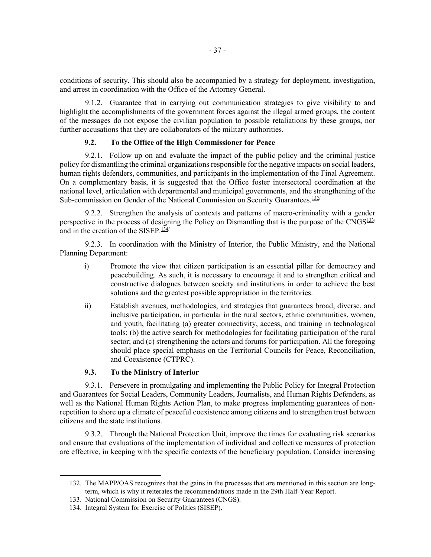conditions of security. This should also be accompanied by a strategy for deployment, investigation, and arrest in coordination with the Office of the Attorney General.

9.1.2. Guarantee that in carrying out communication strategies to give visibility to and highlight the accomplishments of the government forces against the illegal armed groups, the content of the messages do not expose the civilian population to possible retaliations by these groups, nor further accusations that they are collaborators of the military authorities.

### 9.2. To the Office of the High Commissioner for Peace

9.2.1. Follow up on and evaluate the impact of the public policy and the criminal justice policy for dismantling the criminal organizations responsible for the negative impacts on social leaders, human rights defenders, communities, and participants in the implementation of the Final Agreement. On a complementary basis, it is suggested that the Office foster intersectoral coordination at the national level, articulation with departmental and municipal governments, and the strengthening of the Sub-commission on Gender of the National Commission on Security Guarantees.<sup>132/</sup>

9.2.2. Strengthen the analysis of contexts and patterns of macro-criminality with a gender perspective in the process of designing the Policy on Dismantling that is the purpose of the CNGS $^{133/}$ and in the creation of the SISEP. $\frac{134}{ }$ 

9.2.3. In coordination with the Ministry of Interior, the Public Ministry, and the National Planning Department:

- i) Promote the view that citizen participation is an essential pillar for democracy and peacebuilding. As such, it is necessary to encourage it and to strengthen critical and constructive dialogues between society and institutions in order to achieve the best solutions and the greatest possible appropriation in the territories.
- ii) Establish avenues, methodologies, and strategies that guarantees broad, diverse, and inclusive participation, in particular in the rural sectors, ethnic communities, women, and youth, facilitating (a) greater connectivity, access, and training in technological tools; (b) the active search for methodologies for facilitating participation of the rural sector; and (c) strengthening the actors and forums for participation. All the foregoing should place special emphasis on the Territorial Councils for Peace, Reconciliation, and Coexistence (CTPRC).

## 9.3. To the Ministry of Interior

9.3.1. Persevere in promulgating and implementing the Public Policy for Integral Protection and Guarantees for Social Leaders, Community Leaders, Journalists, and Human Rights Defenders, as well as the National Human Rights Action Plan, to make progress implementing guarantees of nonrepetition to shore up a climate of peaceful coexistence among citizens and to strengthen trust between citizens and the state institutions.

9.3.2. Through the National Protection Unit, improve the times for evaluating risk scenarios and ensure that evaluations of the implementation of individual and collective measures of protection are effective, in keeping with the specific contexts of the beneficiary population. Consider increasing

<sup>132.</sup> The MAPP/OAS recognizes that the gains in the processes that are mentioned in this section are longterm, which is why it reiterates the recommendations made in the 29th Half-Year Report.

<sup>133.</sup> National Commission on Security Guarantees (CNGS).

<sup>134.</sup> Integral System for Exercise of Politics (SISEP).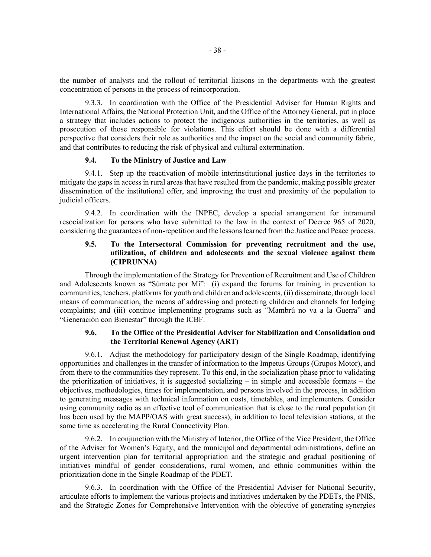the number of analysts and the rollout of territorial liaisons in the departments with the greatest concentration of persons in the process of reincorporation.

9.3.3. In coordination with the Office of the Presidential Adviser for Human Rights and International Affairs, the National Protection Unit, and the Office of the Attorney General, put in place a strategy that includes actions to protect the indigenous authorities in the territories, as well as prosecution of those responsible for violations. This effort should be done with a differential perspective that considers their role as authorities and the impact on the social and community fabric, and that contributes to reducing the risk of physical and cultural extermination.

## 9.4. To the Ministry of Justice and Law

9.4.1. Step up the reactivation of mobile interinstitutional justice days in the territories to mitigate the gaps in access in rural areas that have resulted from the pandemic, making possible greater dissemination of the institutional offer, and improving the trust and proximity of the population to judicial officers.

9.4.2. In coordination with the INPEC, develop a special arrangement for intramural resocialization for persons who have submitted to the law in the context of Decree 965 of 2020, considering the guarantees of non-repetition and the lessons learned from the Justice and Peace process.

## 9.5. To the Intersectoral Commission for preventing recruitment and the use, utilization, of children and adolescents and the sexual violence against them (CIPRUNNA)

 Through the implementation of the Strategy for Prevention of Recruitment and Use of Children and Adolescents known as "Súmate por Mí": (i) expand the forums for training in prevention to communities, teachers, platforms for youth and children and adolescents, (ii) disseminate, through local means of communication, the means of addressing and protecting children and channels for lodging complaints; and (iii) continue implementing programs such as "Mambrú no va a la Guerra" and "Generación con Bienestar" through the ICBF.

## 9.6. To the Office of the Presidential Adviser for Stabilization and Consolidation and the Territorial Renewal Agency (ART)

9.6.1. Adjust the methodology for participatory design of the Single Roadmap, identifying opportunities and challenges in the transfer of information to the Impetus Groups (Grupos Motor), and from there to the communities they represent. To this end, in the socialization phase prior to validating the prioritization of initiatives, it is suggested socializing – in simple and accessible formats – the objectives, methodologies, times for implementation, and persons involved in the process, in addition to generating messages with technical information on costs, timetables, and implementers. Consider using community radio as an effective tool of communication that is close to the rural population (it has been used by the MAPP/OAS with great success), in addition to local television stations, at the same time as accelerating the Rural Connectivity Plan.

9.6.2. In conjunction with the Ministry of Interior, the Office of the Vice President, the Office of the Adviser for Women's Equity, and the municipal and departmental administrations, define an urgent intervention plan for territorial appropriation and the strategic and gradual positioning of initiatives mindful of gender considerations, rural women, and ethnic communities within the prioritization done in the Single Roadmap of the PDET.

9.6.3. In coordination with the Office of the Presidential Adviser for National Security, articulate efforts to implement the various projects and initiatives undertaken by the PDETs, the PNIS, and the Strategic Zones for Comprehensive Intervention with the objective of generating synergies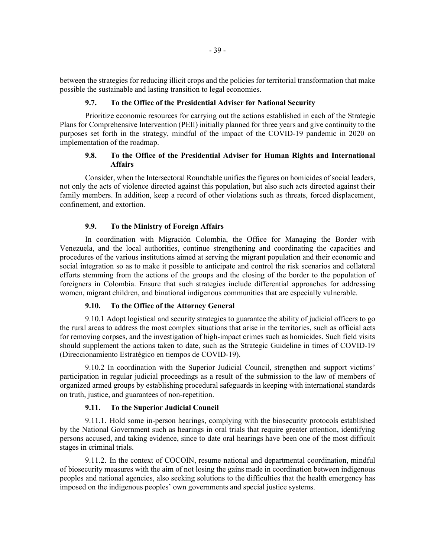between the strategies for reducing illicit crops and the policies for territorial transformation that make possible the sustainable and lasting transition to legal economies.

#### 9.7. To the Office of the Presidential Adviser for National Security

Prioritize economic resources for carrying out the actions established in each of the Strategic Plans for Comprehensive Intervention (PEII) initially planned for three years and give continuity to the purposes set forth in the strategy, mindful of the impact of the COVID-19 pandemic in 2020 on implementation of the roadmap.

### 9.8. To the Office of the Presidential Adviser for Human Rights and International Affairs

Consider, when the Intersectoral Roundtable unifies the figures on homicides of social leaders, not only the acts of violence directed against this population, but also such acts directed against their family members. In addition, keep a record of other violations such as threats, forced displacement, confinement, and extortion.

## 9.9. To the Ministry of Foreign Affairs

In coordination with Migración Colombia, the Office for Managing the Border with Venezuela, and the local authorities, continue strengthening and coordinating the capacities and procedures of the various institutions aimed at serving the migrant population and their economic and social integration so as to make it possible to anticipate and control the risk scenarios and collateral efforts stemming from the actions of the groups and the closing of the border to the population of foreigners in Colombia. Ensure that such strategies include differential approaches for addressing women, migrant children, and binational indigenous communities that are especially vulnerable.

#### 9.10. To the Office of the Attorney General

9.10.1 Adopt logistical and security strategies to guarantee the ability of judicial officers to go the rural areas to address the most complex situations that arise in the territories, such as official acts for removing corpses, and the investigation of high-impact crimes such as homicides. Such field visits should supplement the actions taken to date, such as the Strategic Guideline in times of COVID-19 (Direccionamiento Estratégico en tiempos de COVID-19).

9.10.2 In coordination with the Superior Judicial Council, strengthen and support victims' participation in regular judicial proceedings as a result of the submission to the law of members of organized armed groups by establishing procedural safeguards in keeping with international standards on truth, justice, and guarantees of non-repetition.

#### 9.11. To the Superior Judicial Council

9.11.1. Hold some in-person hearings, complying with the biosecurity protocols established by the National Government such as hearings in oral trials that require greater attention, identifying persons accused, and taking evidence, since to date oral hearings have been one of the most difficult stages in criminal trials.

9.11.2. In the context of COCOIN, resume national and departmental coordination, mindful of biosecurity measures with the aim of not losing the gains made in coordination between indigenous peoples and national agencies, also seeking solutions to the difficulties that the health emergency has imposed on the indigenous peoples' own governments and special justice systems.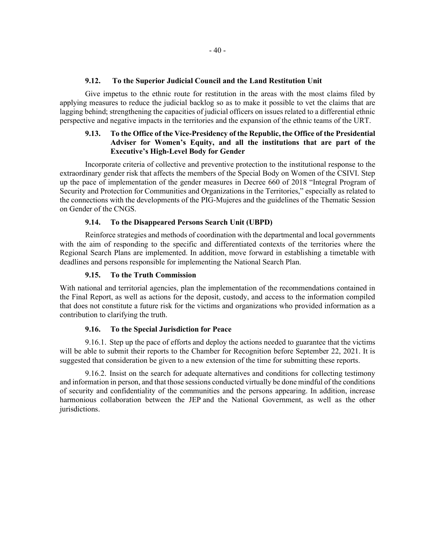### 9.12. To the Superior Judicial Council and the Land Restitution Unit

Give impetus to the ethnic route for restitution in the areas with the most claims filed by applying measures to reduce the judicial backlog so as to make it possible to vet the claims that are lagging behind; strengthening the capacities of judicial officers on issues related to a differential ethnic perspective and negative impacts in the territories and the expansion of the ethnic teams of the URT.

## 9.13. To the Office of the Vice-Presidency of the Republic, the Office of the Presidential Adviser for Women's Equity, and all the institutions that are part of the Executive's High-Level Body for Gender

Incorporate criteria of collective and preventive protection to the institutional response to the extraordinary gender risk that affects the members of the Special Body on Women of the CSIVI. Step up the pace of implementation of the gender measures in Decree 660 of 2018 "Integral Program of Security and Protection for Communities and Organizations in the Territories," especially as related to the connections with the developments of the PIG-Mujeres and the guidelines of the Thematic Session on Gender of the CNGS.

#### 9.14. To the Disappeared Persons Search Unit (UBPD)

Reinforce strategies and methods of coordination with the departmental and local governments with the aim of responding to the specific and differentiated contexts of the territories where the Regional Search Plans are implemented. In addition, move forward in establishing a timetable with deadlines and persons responsible for implementing the National Search Plan.

### 9.15. To the Truth Commission

With national and territorial agencies, plan the implementation of the recommendations contained in the Final Report, as well as actions for the deposit, custody, and access to the information compiled that does not constitute a future risk for the victims and organizations who provided information as a contribution to clarifying the truth.

#### 9.16. To the Special Jurisdiction for Peace

9.16.1. Step up the pace of efforts and deploy the actions needed to guarantee that the victims will be able to submit their reports to the Chamber for Recognition before September 22, 2021. It is suggested that consideration be given to a new extension of the time for submitting these reports.

9.16.2. Insist on the search for adequate alternatives and conditions for collecting testimony and information in person, and that those sessions conducted virtually be done mindful of the conditions of security and confidentiality of the communities and the persons appearing. In addition, increase harmonious collaboration between the JEP and the National Government, as well as the other jurisdictions.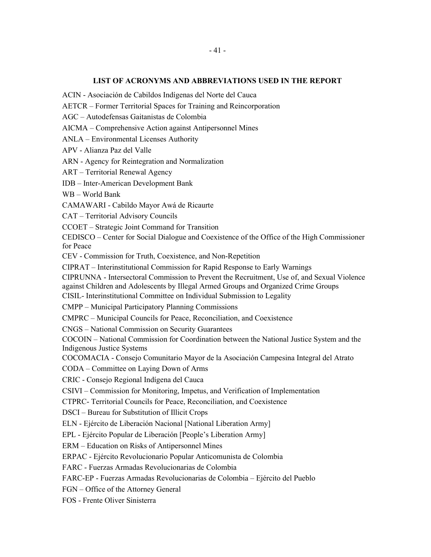### LIST OF ACRONYMS AND ABBREVIATIONS USED IN THE REPORT

ACIN - Asociación de Cabildos Indígenas del Norte del Cauca

AETCR – Former Territorial Spaces for Training and Reincorporation

AGC – Autodefensas Gaitanistas de Colombia

AICMA – Comprehensive Action against Antipersonnel Mines

ANLA – Environmental Licenses Authority

APV - Alianza Paz del Valle

ARN - Agency for Reintegration and Normalization

ART – Territorial Renewal Agency

IDB – Inter-American Development Bank

WB – World Bank

CAMAWARI - Cabildo Mayor Awá de Ricaurte

CAT – Territorial Advisory Councils

CCOET – Strategic Joint Command for Transition

CEDISCO – Center for Social Dialogue and Coexistence of the Office of the High Commissioner for Peace

CEV - Commission for Truth, Coexistence, and Non-Repetition

CIPRAT – Interinstitutional Commission for Rapid Response to Early Warnings

CIPRUNNA - Intersectoral Commission to Prevent the Recruitment, Use of, and Sexual Violence against Children and Adolescents by Illegal Armed Groups and Organized Crime Groups

CISIL- Interinstitutional Committee on Individual Submission to Legality

CMPP – Municipal Participatory Planning Commissions

CMPRC – Municipal Councils for Peace, Reconciliation, and Coexistence

CNGS – National Commission on Security Guarantees

COCOIN – National Commission for Coordination between the National Justice System and the Indigenous Justice Systems

COCOMACIA - Consejo Comunitario Mayor de la Asociación Campesina Integral del Atrato

CODA – Committee on Laying Down of Arms

CRIC - Consejo Regional Indígena del Cauca

CSIVI – Commission for Monitoring, Impetus, and Verification of Implementation

CTPRC- Territorial Councils for Peace, Reconciliation, and Coexistence

DSCI – Bureau for Substitution of Illicit Crops

ELN - Ejército de Liberación Nacional [National Liberation Army]

EPL - Ejército Popular de Liberación [People's Liberation Army]

ERM – Education on Risks of Antipersonnel Mines

ERPAC - Ejército Revolucionario Popular Anticomunista de Colombia

FARC - Fuerzas Armadas Revolucionarias de Colombia

FARC-EP - Fuerzas Armadas Revolucionarias de Colombia – Ejército del Pueblo

FGN – Office of the Attorney General

FOS - Frente Oliver Sinisterra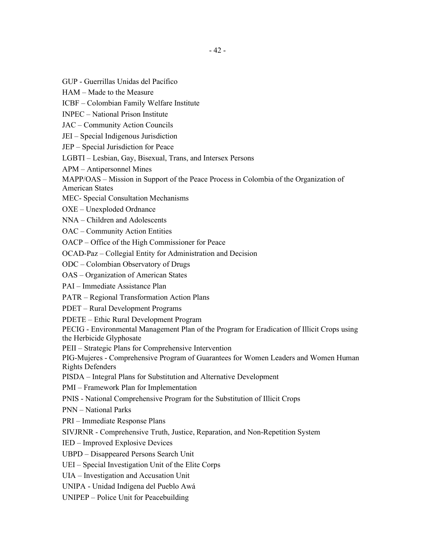GUP - Guerrillas Unidas del Pacífico

HAM – Made to the Measure

ICBF – Colombian Family Welfare Institute

INPEC – National Prison Institute

JAC – Community Action Councils

JEI – Special Indigenous Jurisdiction

JEP – Special Jurisdiction for Peace

LGBTI – Lesbian, Gay, Bisexual, Trans, and Intersex Persons

APM – Antipersonnel Mines

MAPP/OAS – Mission in Support of the Peace Process in Colombia of the Organization of

American States

MEC- Special Consultation Mechanisms

OXE – Unexploded Ordnance

NNA – Children and Adolescents

OAC – Community Action Entities

OACP – Office of the High Commissioner for Peace

OCAD-Paz – Collegial Entity for Administration and Decision

ODC – Colombian Observatory of Drugs

OAS – Organization of American States

PAI – Immediate Assistance Plan

PATR – Regional Transformation Action Plans

PDET – Rural Development Programs

PDETE – Ethic Rural Development Program

PECIG - Environmental Management Plan of the Program for Eradication of Illicit Crops using the Herbicide Glyphosate

PEII – Strategic Plans for Comprehensive Intervention

PIG-Mujeres - Comprehensive Program of Guarantees for Women Leaders and Women Human Rights Defenders

PISDA – Integral Plans for Substitution and Alternative Development

PMI – Framework Plan for Implementation

PNIS - National Comprehensive Program for the Substitution of Illicit Crops

PNN – National Parks

PRI – Immediate Response Plans

SIVJRNR - Comprehensive Truth, Justice, Reparation, and Non-Repetition System

IED – Improved Explosive Devices

UBPD – Disappeared Persons Search Unit

UEI – Special Investigation Unit of the Elite Corps

UIA – Investigation and Accusation Unit

UNIPA - Unidad Indígena del Pueblo Awá

UNIPEP – Police Unit for Peacebuilding